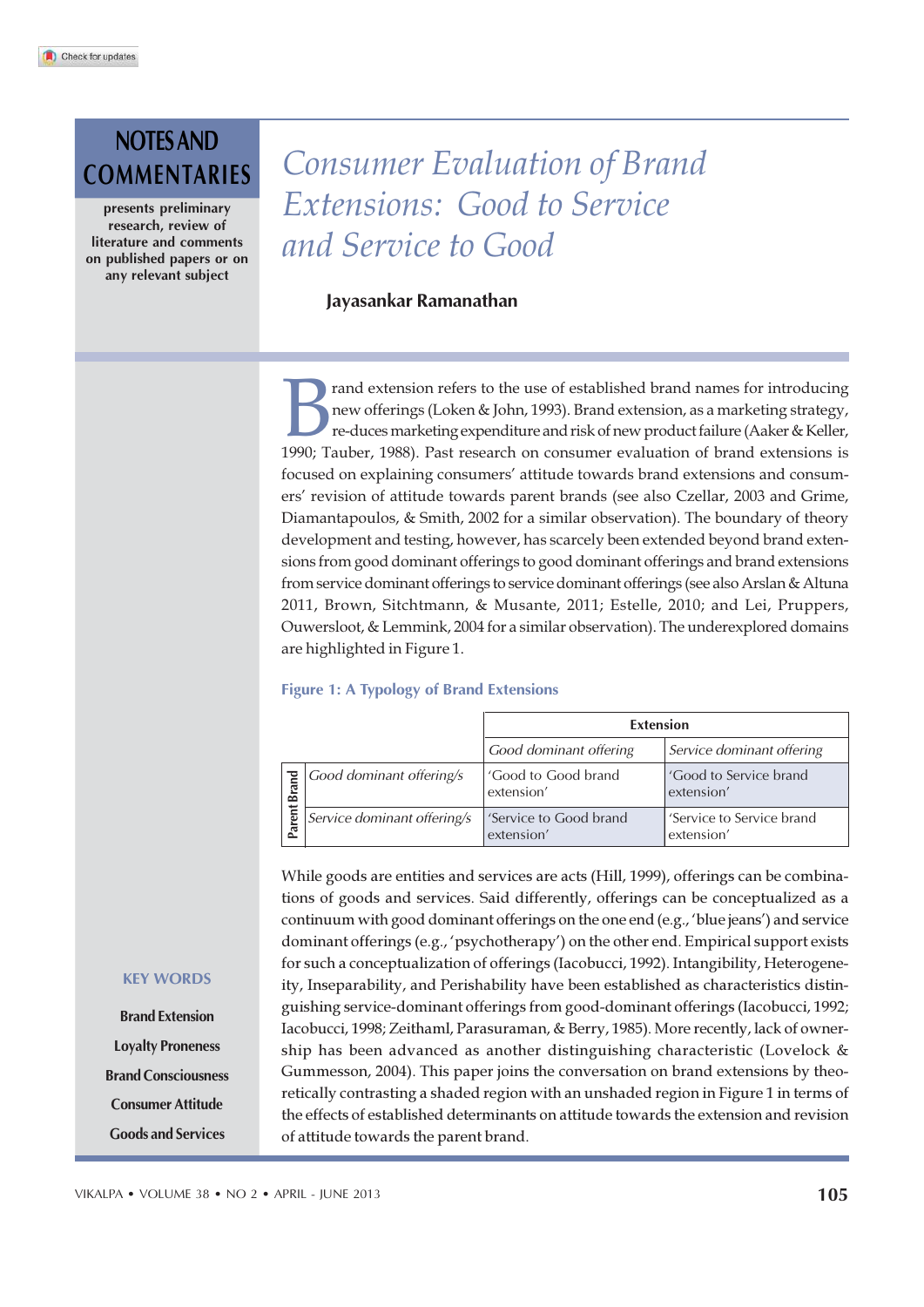# NOTES AND

presents preliminary research, review of literature and comments on published papers or on any relevant subject

# COMMENTARIES Consumer Evaluation of Brand Extensions: Good to Service and Service to Good

Jayasankar Ramanathan

Fault extension refers to the use of established brand names for introducing<br>
1990; Te-duces marketing expenditure and risk of new product failure (Aaker & Keller,<br>
1990; Tauber, 1988). Past research on consumer evaluation rand extension refers to the use of established brand names for introducing new offerings (Loken & John, 1993). Brand extension, as a marketing strategy, re-duces marketing expenditure and risk of new product failure (Aaker & Keller, focused on explaining consumers' attitude towards brand extensions and consumers' revision of attitude towards parent brands (see also Czellar, 2003 and Grime, Diamantapoulos, & Smith, 2002 for a similar observation). The boundary of theory development and testing, however, has scarcely been extended beyond brand extensions from good dominant offerings to good dominant offerings and brand extensions from service dominant offerings to service dominant offerings (see also Arslan & Altuna 2011, Brown, Sitchtmann, & Musante, 2011; Estelle, 2010; and Lei, Pruppers, Ouwersloot, & Lemmink, 2004 for a similar observation). The underexplored domains are highlighted in Figure 1.

#### Figure 1: A Typology of Brand Extensions

|          |                             | <b>Extension</b>                     |                                         |
|----------|-----------------------------|--------------------------------------|-----------------------------------------|
|          |                             | Good dominant offering               | Service dominant offering               |
| E<br>Bra | Good dominant offering/s    | 'Good to Good brand<br>extension'    | 'Good to Service brand<br>extension'    |
| Parent   | Service dominant offering/s | 'Service to Good brand<br>extension' | 'Service to Service brand<br>extension' |

While goods are entities and services are acts (Hill, 1999), offerings can be combinations of goods and services. Said differently, offerings can be conceptualized as a continuum with good dominant offerings on the one end (e.g., 'blue jeans') and service dominant offerings (e.g., 'psychotherapy') on the other end. Empirical support exists for such a conceptualization of offerings (Iacobucci, 1992). Intangibility, Heterogeneity, Inseparability, and Perishability have been established as characteristics distinguishing service-dominant offerings from good-dominant offerings (Iacobucci, 1992; Iacobucci, 1998; Zeithaml, Parasuraman, & Berry, 1985). More recently, lack of ownership has been advanced as another distinguishing characteristic (Lovelock & Gummesson, 2004). This paper joins the conversation on brand extensions by theoretically contrasting a shaded region with an unshaded region in Figure 1 in terms of the effects of established determinants on attitude towards the extension and revision Forther attendance of the parent of the effects of extension of the parent of the parent of the parent While goods are entities and service extensions of goods and services. Said different dominant offerings (e.g., 'psycho

#### KEY WORDS

Brand Extension Loyalty Proneness Brand Consciousness Consumer Attitude Goods and Services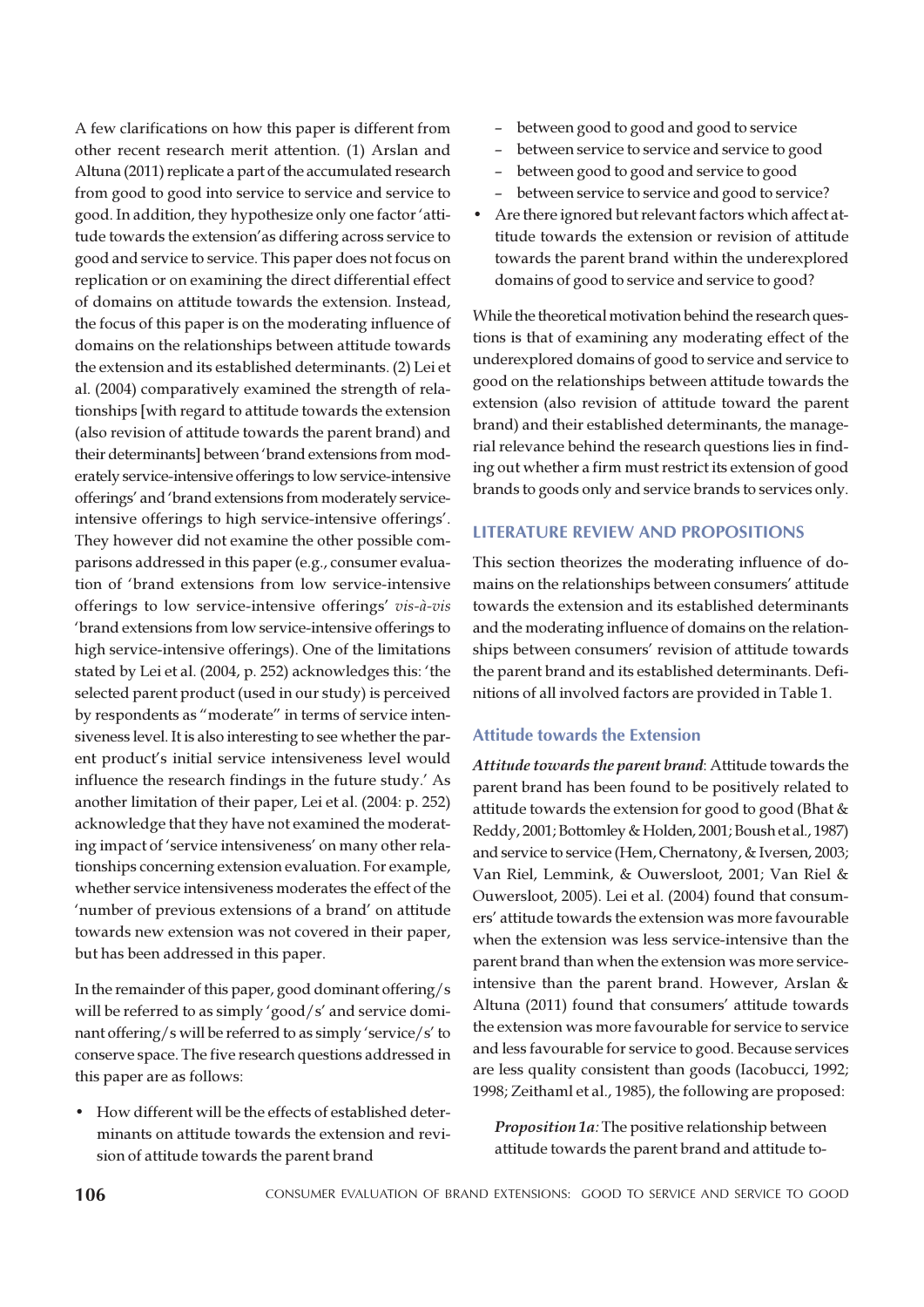A few clarifications on how this paper is different from other recent research merit attention. (1) Arslan and Altuna (2011) replicate a part of the accumulated research from good to good into service to service and service to good. In addition, they hypothesize only one factor 'attitude towards the extension'as differing across service to good and service to service. This paper does not focus on replication or on examining the direct differential effect of domains on attitude towards the extension. Instead, the focus of this paper is on the moderating influence of domains on the relationships between attitude towards the extension and its established determinants. (2) Lei et al. (2004) comparatively examined the strength of relationships [with regard to attitude towards the extension (also revision of attitude towards the parent brand) and their determinants] between 'brand extensions from moderately service-intensive offerings to low service-intensive offerings' and 'brand extensions from moderately serviceintensive offerings to high service-intensive offerings'. They however did not examine the other possible comparisons addressed in this paper (e.g., consumer evaluation of 'brand extensions from low service-intensive offerings to low service-intensive offerings' vis-à-vis 'brand extensions from low service-intensive offerings to high service-intensive offerings). One of the limitations stated by Lei et al. (2004, p. 252) acknowledges this: 'the selected parent product (used in our study) is perceived by respondents as "moderate" in terms of service intensiveness level. It is also interesting to see whether the parent product's initial service intensiveness level would influence the research findings in the future study.' As another limitation of their paper, Lei et al. (2004: p. 252) acknowledge that they have not examined the moderating impact of 'service intensiveness' on many other relationships concerning extension evaluation. For example, whether service intensiveness moderates the effect of the 'number of previous extensions of a brand' on attitude towards new extension was not covered in their paper, but has been addressed in this paper.

In the remainder of this paper, good dominant offering/s will be referred to as simply 'good/s' and service dominant offering/s will be referred to as simply 'service/s' to conserve space. The five research questions addressed in this paper are as follows:

• How different will be the effects of established determinants on attitude towards the extension and revision of attitude towards the parent brand

- between good to good and good to service
- between service to service and service to good
- between good to good and service to good
- between service to service and good to service?
- Are there ignored but relevant factors which affect attitude towards the extension or revision of attitude towards the parent brand within the underexplored domains of good to service and service to good?

While the theoretical motivation behind the research questions is that of examining any moderating effect of the underexplored domains of good to service and service to good on the relationships between attitude towards the extension (also revision of attitude toward the parent brand) and their established determinants, the managerial relevance behind the research questions lies in finding out whether a firm must restrict its extension of good brands to goods only and service brands to services only.

# LITERATURE REVIEW AND PROPOSITIONS

This section theorizes the moderating influence of domains on the relationships between consumers' attitude towards the extension and its established determinants and the moderating influence of domains on the relationships between consumers' revision of attitude towards the parent brand and its established determinants. Definitions of all involved factors are provided in Table 1.

# Attitude towards the Extension

Attitude towards the parent brand: Attitude towards the parent brand has been found to be positively related to attitude towards the extension for good to good (Bhat & Reddy, 2001; Bottomley & Holden, 2001; Boush et al., 1987) and service to service (Hem, Chernatony, & Iversen, 2003; Van Riel, Lemmink, & Ouwersloot, 2001; Van Riel & Ouwersloot, 2005). Lei et al. (2004) found that consumers' attitude towards the extension was more favourable when the extension was less service-intensive than the parent brand than when the extension was more serviceintensive than the parent brand. However, Arslan & Altuna (2011) found that consumers' attitude towards the extension was more favourable for service to service and less favourable for service to good. Because services are less quality consistent than goods (Iacobucci, 1992; 1998; Zeithaml et al., 1985), the following are proposed:

Proposition 1a: The positive relationship between attitude towards the parent brand and attitude to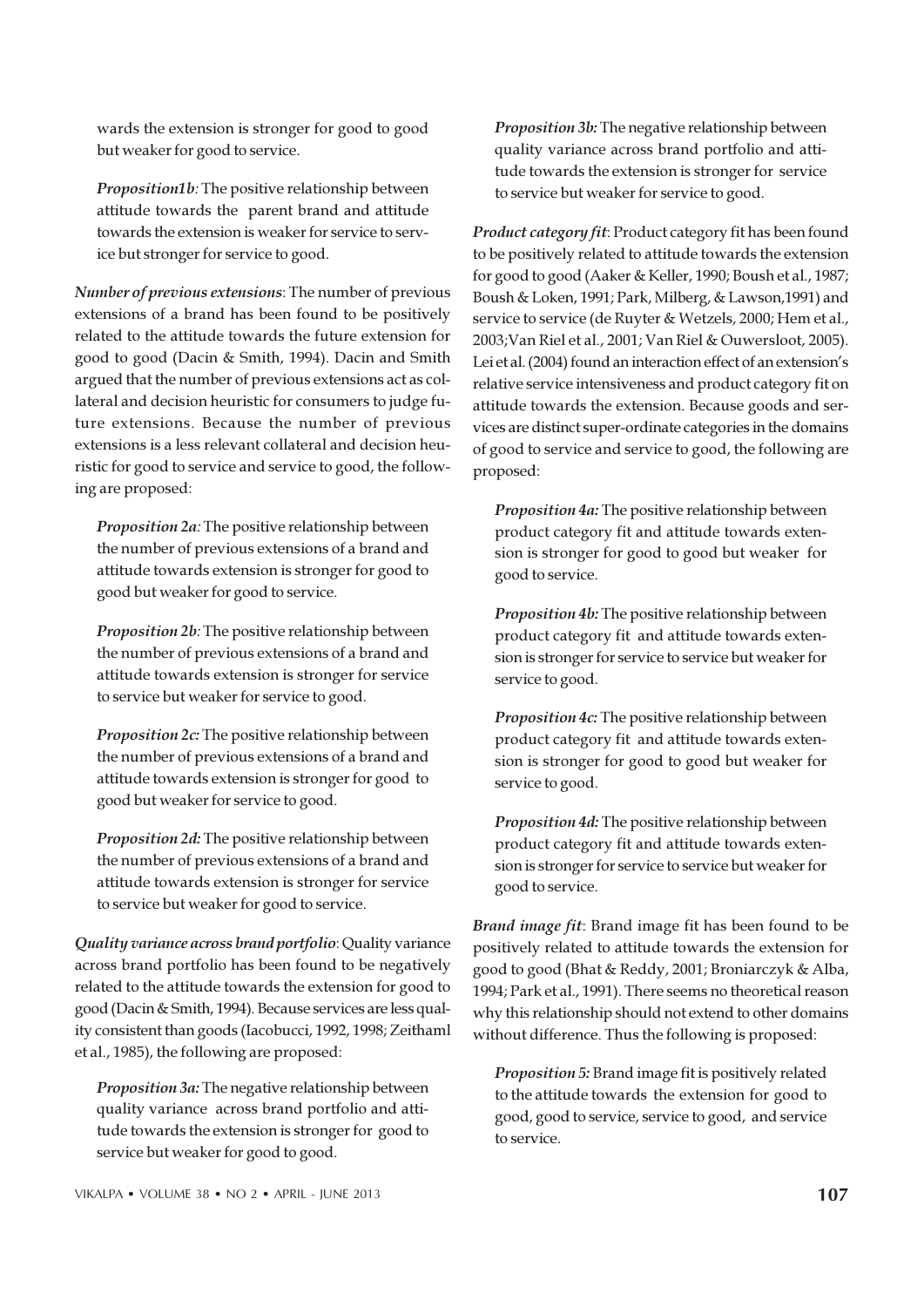wards the extension is stronger for good to good but weaker for good to service.

Proposition1b: The positive relationship between attitude towards the parent brand and attitude towards the extension is weaker for service to service but stronger for service to good.

Number of previous extensions: The number of previous extensions of a brand has been found to be positively related to the attitude towards the future extension for good to good (Dacin & Smith, 1994). Dacin and Smith argued that the number of previous extensions act as collateral and decision heuristic for consumers to judge future extensions. Because the number of previous extensions is a less relevant collateral and decision heuristic for good to service and service to good, the following are proposed:

Proposition 2a: The positive relationship between the number of previous extensions of a brand and attitude towards extension is stronger for good to good but weaker for good to service.

Proposition 2b: The positive relationship between the number of previous extensions of a brand and attitude towards extension is stronger for service to service but weaker for service to good.

Proposition 2c: The positive relationship between the number of previous extensions of a brand and attitude towards extension is stronger for good to good but weaker for service to good.

Proposition 2d: The positive relationship between the number of previous extensions of a brand and attitude towards extension is stronger for service to service but weaker for good to service.

Quality variance across brand portfolio: Quality variance across brand portfolio has been found to be negatively related to the attitude towards the extension for good to good (Dacin & Smith, 1994). Because services are less quality consistent than goods (Iacobucci, 1992, 1998; Zeithaml et al., 1985), the following are proposed:

Proposition 3a: The negative relationship between quality variance across brand portfolio and attitude towards the extension is stronger for good to service but weaker for good to good.

Proposition 3b: The negative relationship between quality variance across brand portfolio and attitude towards the extension is stronger for service to service but weaker for service to good.

Product category fit: Product category fit has been found to be positively related to attitude towards the extension for good to good (Aaker & Keller, 1990; Boush et al., 1987; Boush & Loken, 1991; Park, Milberg, & Lawson,1991) and service to service (de Ruyter & Wetzels, 2000; Hem et al., 2003;Van Riel et al., 2001; Van Riel & Ouwersloot, 2005). Lei et al. (2004) found an interaction effect of an extension's relative service intensiveness and product category fit on attitude towards the extension. Because goods and services are distinct super-ordinate categories in the domains of good to service and service to good, the following are proposed:

Proposition 4a: The positive relationship between product category fit and attitude towards extension is stronger for good to good but weaker for good to service.

Proposition 4b: The positive relationship between product category fit and attitude towards extension is stronger for service to service but weaker for service to good.

Proposition 4c: The positive relationship between product category fit and attitude towards extension is stronger for good to good but weaker for service to good.

Proposition 4d: The positive relationship between product category fit and attitude towards extension is stronger for service to service but weaker for good to service.

Brand image fit: Brand image fit has been found to be positively related to attitude towards the extension for good to good (Bhat & Reddy, 2001; Broniarczyk & Alba, 1994; Park et al., 1991). There seems no theoretical reason why this relationship should not extend to other domains without difference. Thus the following is proposed:

Proposition 5: Brand image fit is positively related to the attitude towards the extension for good to good, good to service, service to good, and service to service.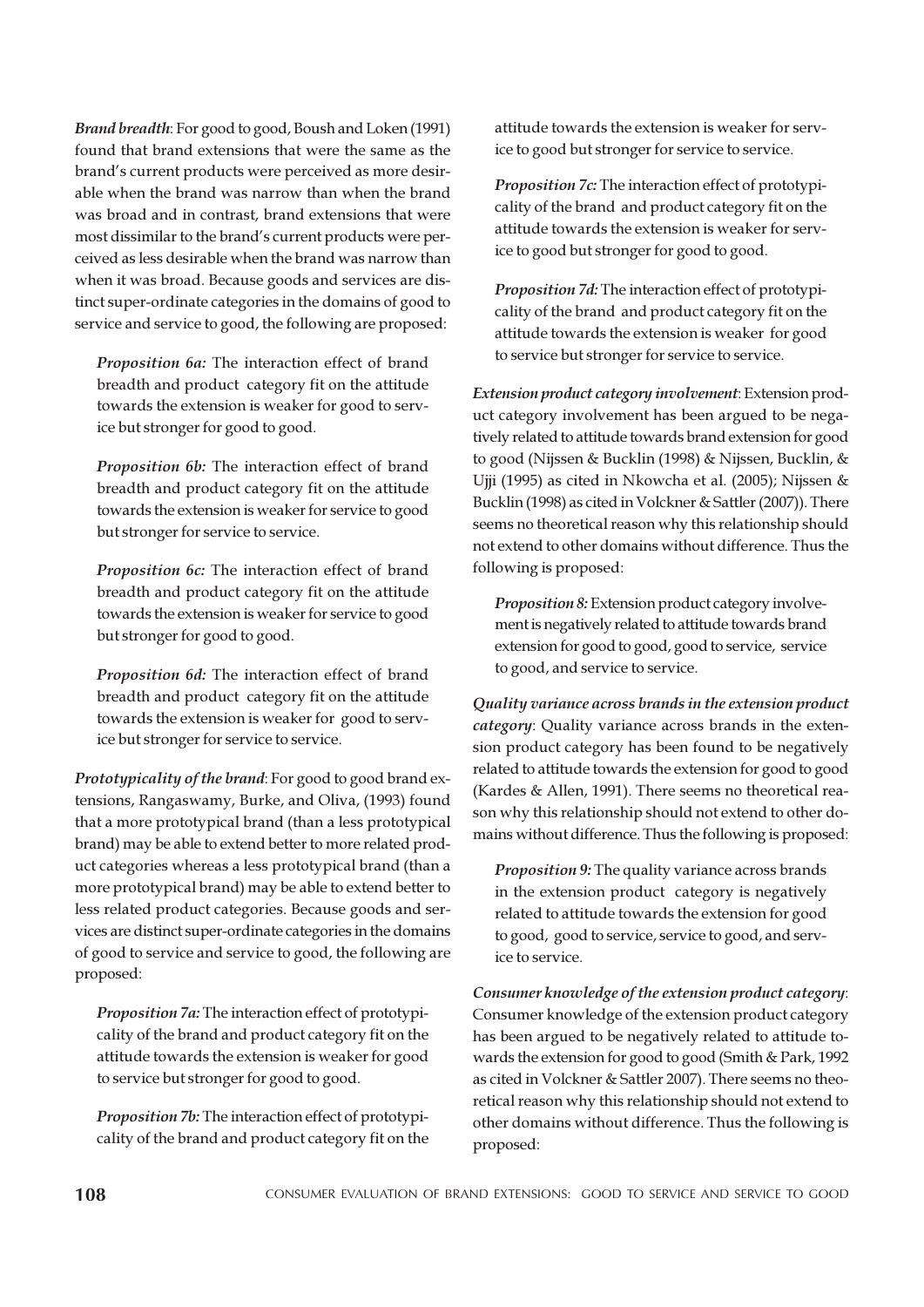Brand breadth: For good to good, Boush and Loken (1991) found that brand extensions that were the same as the brand's current products were perceived as more desirable when the brand was narrow than when the brand was broad and in contrast, brand extensions that were most dissimilar to the brand's current products were perceived as less desirable when the brand was narrow than when it was broad. Because goods and services are distinct super-ordinate categories in the domains of good to service and service to good, the following are proposed:

Proposition 6a: The interaction effect of brand breadth and product category fit on the attitude towards the extension is weaker for good to service but stronger for good to good.

Proposition 6b: The interaction effect of brand breadth and product category fit on the attitude towards the extension is weaker for service to good but stronger for service to service.

Proposition 6c: The interaction effect of brand breadth and product category fit on the attitude towards the extension is weaker for service to good but stronger for good to good.

Proposition 6d: The interaction effect of brand breadth and product category fit on the attitude towards the extension is weaker for good to service but stronger for service to service.

Prototypicality of the brand: For good to good brand extensions, Rangaswamy, Burke, and Oliva, (1993) found that a more prototypical brand (than a less prototypical brand) may be able to extend better to more related product categories whereas a less prototypical brand (than a more prototypical brand) may be able to extend better to less related product categories. Because goods and services are distinct super-ordinate categories in the domains of good to service and service to good, the following are proposed:

Proposition 7a: The interaction effect of prototypicality of the brand and product category fit on the attitude towards the extension is weaker for good to service but stronger for good to good.

Proposition 7b: The interaction effect of prototypicality of the brand and product category fit on the attitude towards the extension is weaker for service to good but stronger for service to service.

Proposition 7c: The interaction effect of prototypicality of the brand and product category fit on the attitude towards the extension is weaker for service to good but stronger for good to good.

Proposition 7d: The interaction effect of prototypicality of the brand and product category fit on the attitude towards the extension is weaker for good to service but stronger for service to service.

Extension product category involvement: Extension product category involvement has been argued to be negatively related to attitude towards brand extension for good to good (Nijssen & Bucklin (1998) & Nijssen, Bucklin, & Ujji (1995) as cited in Nkowcha et al. (2005); Nijssen & Bucklin (1998) as cited in Volckner & Sattler (2007)). There seems no theoretical reason why this relationship should not extend to other domains without difference. Thus the following is proposed:

Proposition 8: Extension product category involvement is negatively related to attitude towards brand extension for good to good, good to service, service to good, and service to service.

Quality variance across brands in the extension product category: Quality variance across brands in the extension product category has been found to be negatively related to attitude towards the extension for good to good (Kardes & Allen, 1991). There seems no theoretical reason why this relationship should not extend to other domains without difference. Thus the following is proposed:

Proposition 9: The quality variance across brands in the extension product category is negatively related to attitude towards the extension for good to good, good to service, service to good, and service to service.

Consumer knowledge of the extension product category: Consumer knowledge of the extension product category has been argued to be negatively related to attitude towards the extension for good to good (Smith & Park, 1992 as cited in Volckner & Sattler 2007). There seems no theoretical reason why this relationship should not extend to other domains without difference. Thus the following is proposed: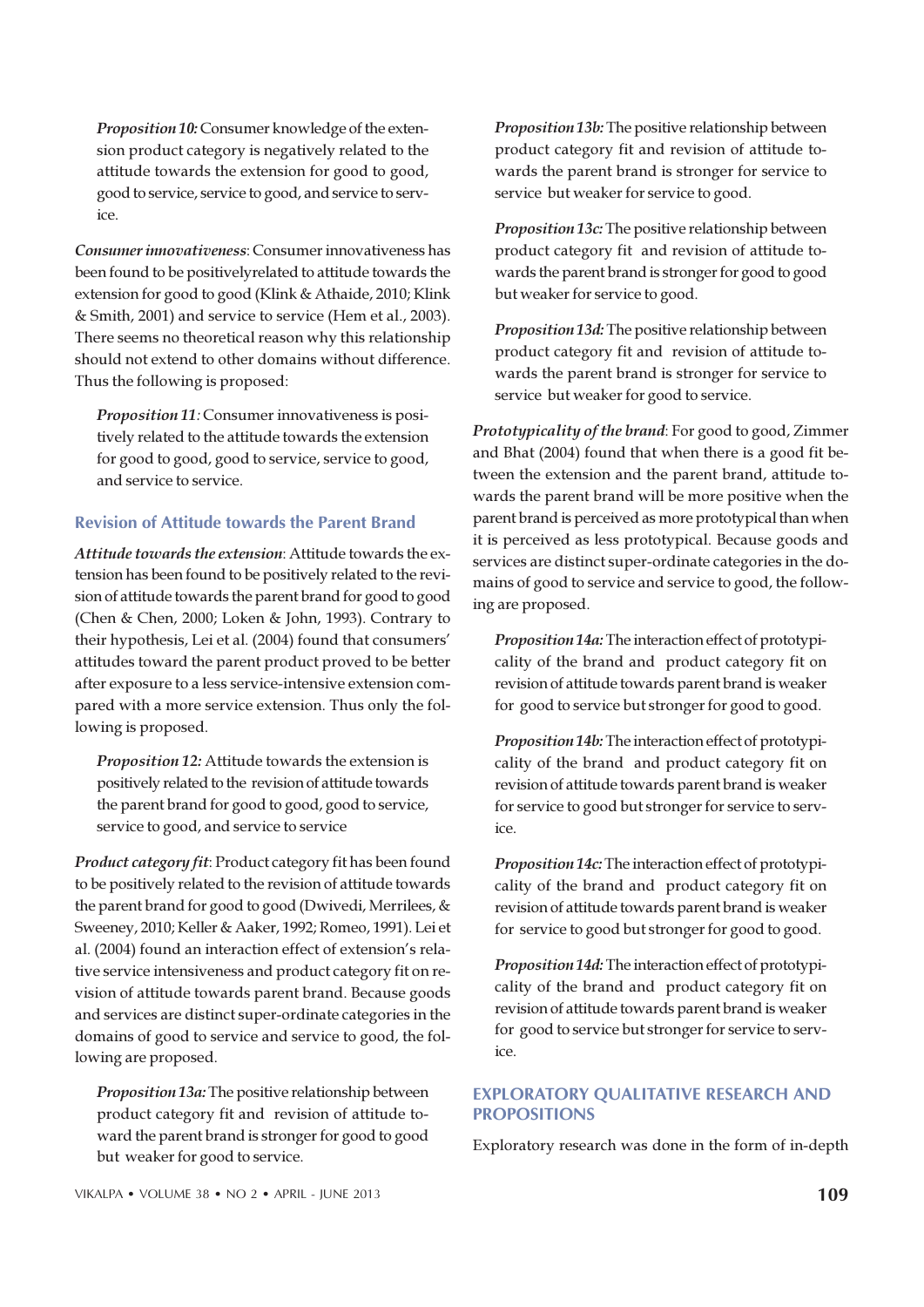Proposition 10: Consumer knowledge of the extension product category is negatively related to the attitude towards the extension for good to good, good to service, service to good, and service to service.

Consumer innovativeness: Consumer innovativeness has been found to be positivelyrelated to attitude towards the extension for good to good (Klink & Athaide, 2010; Klink & Smith, 2001) and service to service (Hem et al., 2003). There seems no theoretical reason why this relationship should not extend to other domains without difference. Thus the following is proposed:

Proposition 11: Consumer innovativeness is positively related to the attitude towards the extension for good to good, good to service, service to good, and service to service.

## Revision of Attitude towards the Parent Brand

Attitude towards the extension: Attitude towards the extension has been found to be positively related to the revision of attitude towards the parent brand for good to good (Chen & Chen, 2000; Loken & John, 1993). Contrary to their hypothesis, Lei et al. (2004) found that consumers' attitudes toward the parent product proved to be better after exposure to a less service-intensive extension compared with a more service extension. Thus only the following is proposed.

Proposition 12: Attitude towards the extension is positively related to the revision of attitude towards the parent brand for good to good, good to service, service to good, and service to service

Product category fit: Product category fit has been found to be positively related to the revision of attitude towards the parent brand for good to good (Dwivedi, Merrilees, & Sweeney, 2010; Keller & Aaker, 1992; Romeo, 1991). Lei et al. (2004) found an interaction effect of extension's relative service intensiveness and product category fit on revision of attitude towards parent brand. Because goods and services are distinct super-ordinate categories in the domains of good to service and service to good, the following are proposed.

Proposition 13a: The positive relationship between product category fit and revision of attitude toward the parent brand is stronger for good to good but weaker for good to service.

Proposition 13b: The positive relationship between product category fit and revision of attitude towards the parent brand is stronger for service to service but weaker for service to good.

Proposition 13c: The positive relationship between product category fit and revision of attitude towards the parent brand is stronger for good to good but weaker for service to good.

Proposition 13d: The positive relationship between product category fit and revision of attitude towards the parent brand is stronger for service to service but weaker for good to service.

Prototypicality of the brand: For good to good, Zimmer and Bhat (2004) found that when there is a good fit between the extension and the parent brand, attitude towards the parent brand will be more positive when the parent brand is perceived as more prototypical than when it is perceived as less prototypical. Because goods and services are distinct super-ordinate categories in the domains of good to service and service to good, the following are proposed.

Proposition 14a: The interaction effect of prototypicality of the brand and product category fit on revision of attitude towards parent brand is weaker for good to service but stronger for good to good.

Proposition 14b: The interaction effect of prototypicality of the brand and product category fit on revision of attitude towards parent brand is weaker for service to good but stronger for service to service.

Proposition 14c: The interaction effect of prototypicality of the brand and product category fit on revision of attitude towards parent brand is weaker for service to good but stronger for good to good.

Proposition 14d: The interaction effect of prototypicality of the brand and product category fit on revision of attitude towards parent brand is weaker for good to service but stronger for service to service.

# EXPLORATORY QUALITATIVE RESEARCH AND PROPOSITIONS

Exploratory research was done in the form of in-depth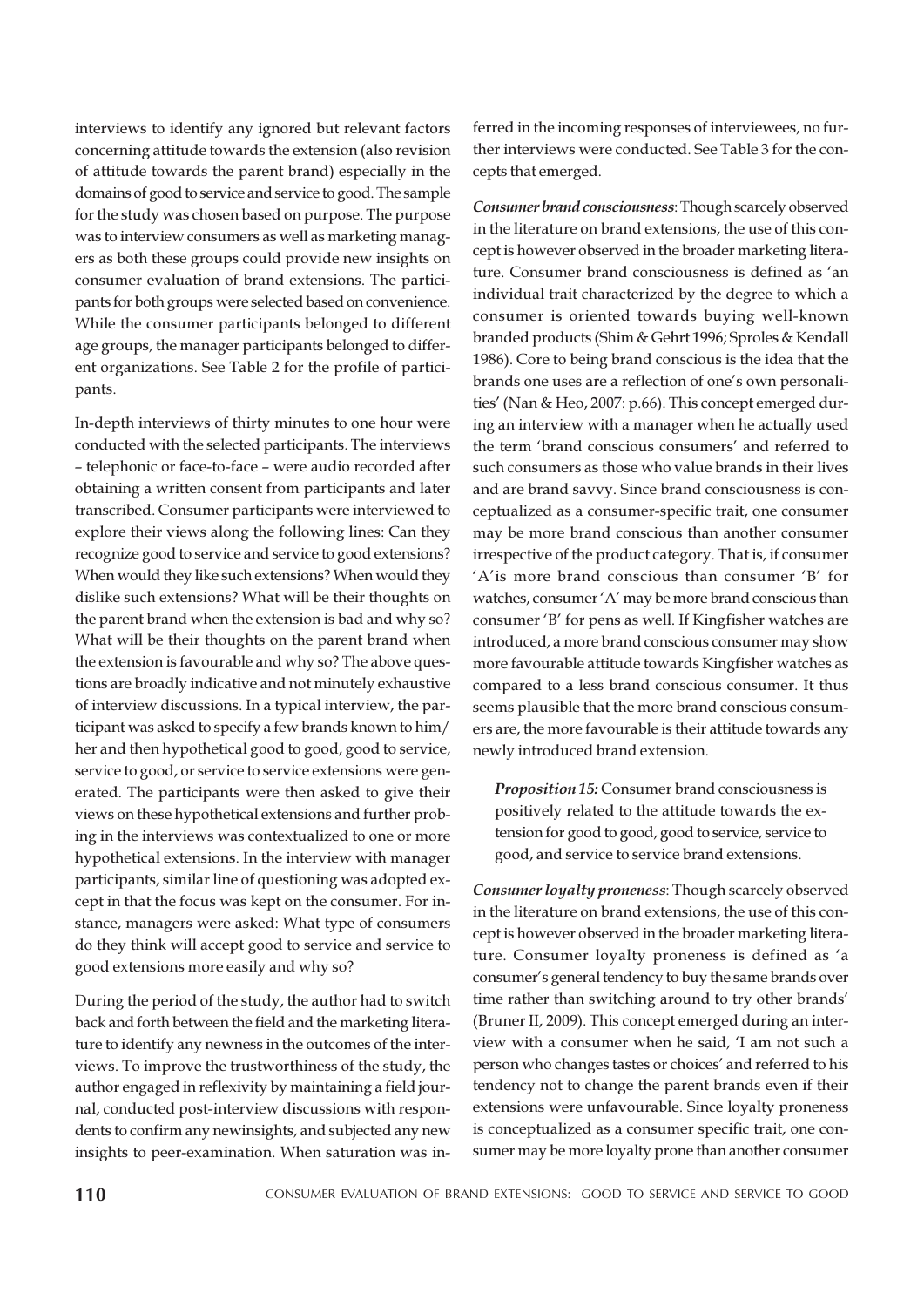interviews to identify any ignored but relevant factors concerning attitude towards the extension (also revision of attitude towards the parent brand) especially in the domains of good to service and service to good. The sample for the study was chosen based on purpose. The purpose was to interview consumers as well as marketing managers as both these groups could provide new insights on consumer evaluation of brand extensions. The participants for both groups were selected based on convenience. While the consumer participants belonged to different age groups, the manager participants belonged to different organizations. See Table 2 for the profile of participants.

In-depth interviews of thirty minutes to one hour were conducted with the selected participants. The interviews – telephonic or face-to-face – were audio recorded after obtaining a written consent from participants and later transcribed. Consumer participants were interviewed to explore their views along the following lines: Can they recognize good to service and service to good extensions? When would they like such extensions? When would they dislike such extensions? What will be their thoughts on the parent brand when the extension is bad and why so? What will be their thoughts on the parent brand when the extension is favourable and why so? The above questions are broadly indicative and not minutely exhaustive of interview discussions. In a typical interview, the participant was asked to specify a few brands known to him/ her and then hypothetical good to good, good to service, service to good, or service to service extensions were generated. The participants were then asked to give their views on these hypothetical extensions and further probing in the interviews was contextualized to one or more hypothetical extensions. In the interview with manager participants, similar line of questioning was adopted except in that the focus was kept on the consumer. For instance, managers were asked: What type of consumers do they think will accept good to service and service to good extensions more easily and why so?

During the period of the study, the author had to switch back and forth between the field and the marketing literature to identify any newness in the outcomes of the interviews. To improve the trustworthiness of the study, the author engaged in reflexivity by maintaining a field journal, conducted post-interview discussions with respondents to confirm any newinsights, and subjected any new insights to peer-examination. When saturation was inferred in the incoming responses of interviewees, no further interviews were conducted. See Table 3 for the concepts that emerged.

Consumer brand consciousness: Though scarcely observed in the literature on brand extensions, the use of this concept is however observed in the broader marketing literature. Consumer brand consciousness is defined as 'an individual trait characterized by the degree to which a consumer is oriented towards buying well-known branded products (Shim & Gehrt 1996; Sproles & Kendall 1986). Core to being brand conscious is the idea that the brands one uses are a reflection of one's own personalities' (Nan & Heo, 2007: p.66). This concept emerged during an interview with a manager when he actually used the term 'brand conscious consumers' and referred to such consumers as those who value brands in their lives and are brand savvy. Since brand consciousness is conceptualized as a consumer-specific trait, one consumer may be more brand conscious than another consumer irrespective of the product category. That is, if consumer 'A'is more brand conscious than consumer 'B' for watches, consumer 'A' may be more brand conscious than consumer 'B' for pens as well. If Kingfisher watches are introduced, a more brand conscious consumer may show more favourable attitude towards Kingfisher watches as compared to a less brand conscious consumer. It thus seems plausible that the more brand conscious consumers are, the more favourable is their attitude towards any newly introduced brand extension.

Proposition 15: Consumer brand consciousness is positively related to the attitude towards the extension for good to good, good to service, service to good, and service to service brand extensions.

Consumer loyalty proneness: Though scarcely observed in the literature on brand extensions, the use of this concept is however observed in the broader marketing literature. Consumer loyalty proneness is defined as 'a consumer's general tendency to buy the same brands over time rather than switching around to try other brands' (Bruner II, 2009). This concept emerged during an interview with a consumer when he said, 'I am not such a person who changes tastes or choices' and referred to his tendency not to change the parent brands even if their extensions were unfavourable. Since loyalty proneness is conceptualized as a consumer specific trait, one consumer may be more loyalty prone than another consumer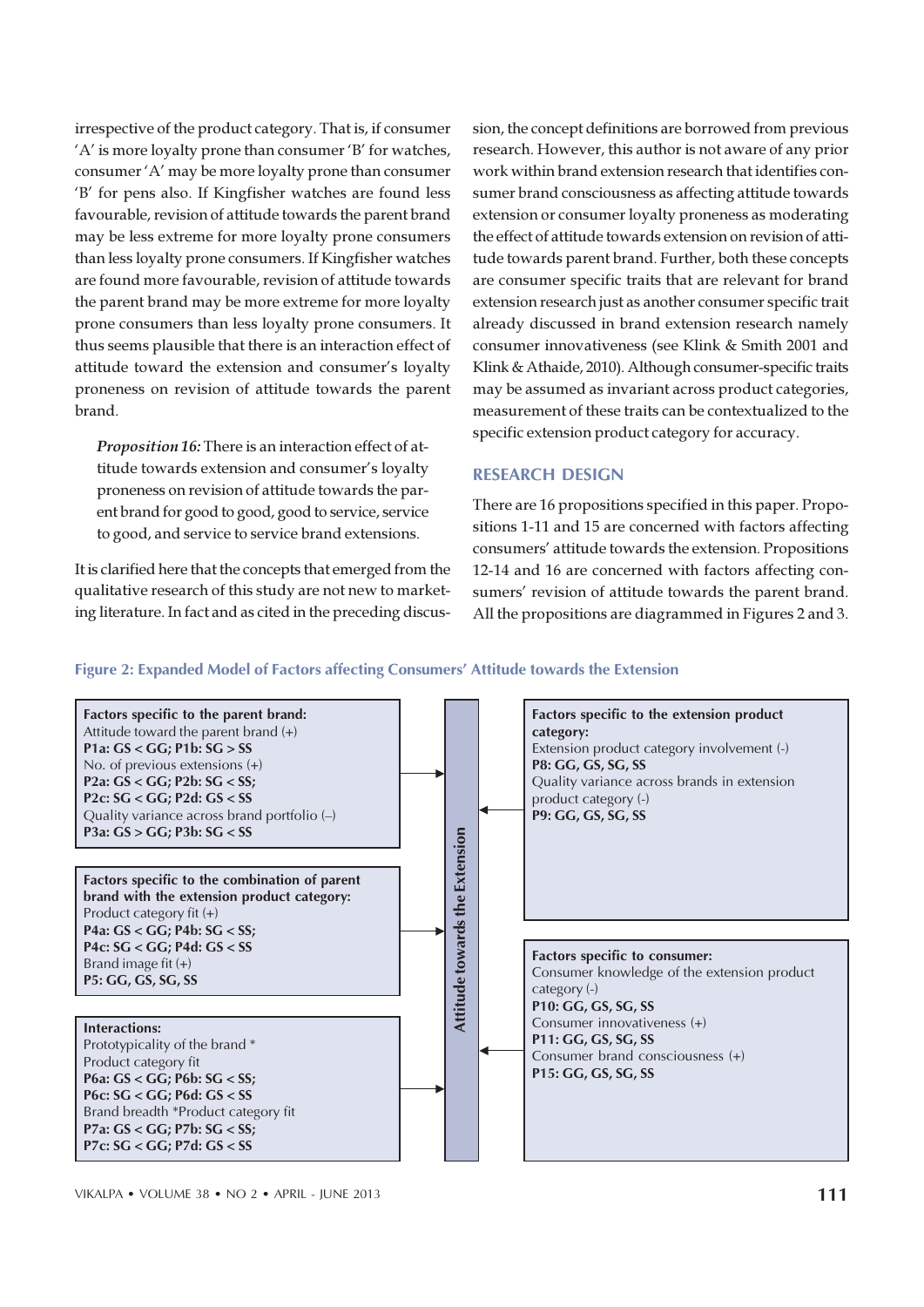irrespective of the product category. That is, if consumer 'A' is more loyalty prone than consumer 'B' for watches, consumer 'A' may be more loyalty prone than consumer 'B' for pens also. If Kingfisher watches are found less favourable, revision of attitude towards the parent brand may be less extreme for more loyalty prone consumers than less loyalty prone consumers. If Kingfisher watches are found more favourable, revision of attitude towards the parent brand may be more extreme for more loyalty prone consumers than less loyalty prone consumers. It thus seems plausible that there is an interaction effect of attitude toward the extension and consumer's loyalty proneness on revision of attitude towards the parent brand.

Proposition 16: There is an interaction effect of attitude towards extension and consumer's loyalty proneness on revision of attitude towards the parent brand for good to good, good to service, service to good, and service to service brand extensions.

It is clarified here that the concepts that emerged from the qualitative research of this study are not new to marketing literature. In fact and as cited in the preceding discussion, the concept definitions are borrowed from previous research. However, this author is not aware of any prior work within brand extension research that identifies consumer brand consciousness as affecting attitude towards extension or consumer loyalty proneness as moderating the effect of attitude towards extension on revision of attitude towards parent brand. Further, both these concepts are consumer specific traits that are relevant for brand extension research just as another consumer specific trait already discussed in brand extension research namely consumer innovativeness (see Klink & Smith 2001 and Klink & Athaide, 2010). Although consumer-specific traits may be assumed as invariant across product categories, measurement of these traits can be contextualized to the specific extension product category for accuracy.

#### RESEARCH DESIGN

There are 16 propositions specified in this paper. Propositions 1-11 and 15 are concerned with factors affecting consumers' attitude towards the extension. Propositions 12-14 and 16 are concerned with factors affecting consumers' revision of attitude towards the parent brand. All the propositions are diagrammed in Figures 2 and 3.

#### Figure 2: Expanded Model of Factors affecting Consumers' Attitude towards the Extension

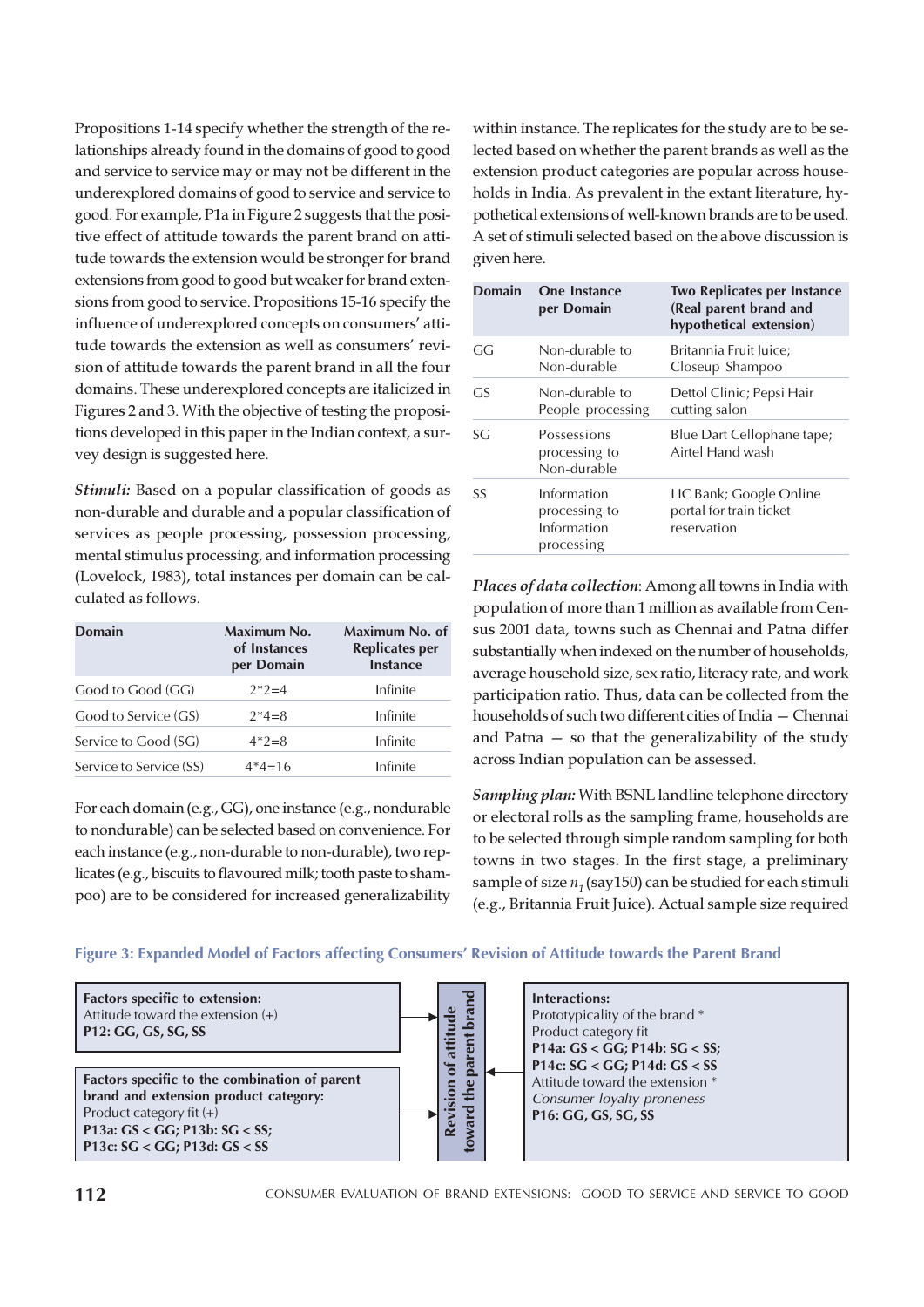Propositions 1-14 specify whether the strength of the relationships already found in the domains of good to good and service to service may or may not be different in the underexplored domains of good to service and service to good. For example, P1a in Figure 2 suggests that the positive effect of attitude towards the parent brand on attitude towards the extension would be stronger for brand extensions from good to good but weaker for brand extensions from good to service. Propositions 15-16 specify the influence of underexplored concepts on consumers' attitude towards the extension as well as consumers' revision of attitude towards the parent brand in all the four domains. These underexplored concepts are italicized in Figures 2 and 3. With the objective of testing the propositions developed in this paper in the Indian context, a survey design is suggested here.

Stimuli: Based on a popular classification of goods as non-durable and durable and a popular classification of services as people processing, possession processing, mental stimulus processing, and information processing (Lovelock, 1983), total instances per domain can be calculated as follows.

| <b>Domain</b>           | Maximum No.<br>of Instances<br>per Domain | Maximum No. of<br><b>Replicates per</b><br><b>Instance</b> |
|-------------------------|-------------------------------------------|------------------------------------------------------------|
| Good to Good (GG)       | $2*2=4$                                   | Infinite                                                   |
| Good to Service (GS)    | $2*4=8$                                   | Infinite                                                   |
| Service to Good (SG)    | $4*2=8$                                   | Infinite                                                   |
| Service to Service (SS) | $4*4=16$                                  | Infinite                                                   |

For each domain (e.g., GG), one instance (e.g., nondurable to nondurable) can be selected based on convenience. For each instance (e.g., non-durable to non-durable), two replicates (e.g., biscuits to flavoured milk; tooth paste to shampoo) are to be considered for increased generalizability

within instance. The replicates for the study are to be selected based on whether the parent brands as well as the extension product categories are popular across households in India. As prevalent in the extant literature, hypothetical extensions of well-known brands are to be used. A set of stimuli selected based on the above discussion is given here.

| <b>Domain</b> | One Instance<br>per Domain                                | <b>Two Replicates per Instance</b><br>(Real parent brand and<br>hypothetical extension) |
|---------------|-----------------------------------------------------------|-----------------------------------------------------------------------------------------|
| GG            | Non-durable to<br>Non-durable                             | Britannia Fruit Juice;<br>Closeup Shampoo                                               |
| GS            | Non-durable to<br>People processing                       | Dettol Clinic; Pepsi Hair<br>cutting salon                                              |
| SG            | Possessions<br>processing to<br>Non-durable               | Blue Dart Cellophane tape;<br>Airtel Hand wash                                          |
| SS            | Information<br>processing to<br>Information<br>processing | LIC Bank; Google Online<br>portal for train ticket<br>reservation                       |

Places of data collection: Among all towns in India with population of more than 1 million as available from Census 2001 data, towns such as Chennai and Patna differ substantially when indexed on the number of households, average household size, sex ratio, literacy rate, and work participation ratio. Thus, data can be collected from the households of such two different cities of India — Chennai and Patna — so that the generalizability of the study across Indian population can be assessed.

Sampling plan: With BSNL landline telephone directory or electoral rolls as the sampling frame, households are to be selected through simple random sampling for both towns in two stages. In the first stage, a preliminary sample of size  $n_1$  (say150) can be studied for each stimuli (e.g., Britannia Fruit Juice). Actual sample size required

#### Figure 3: Expanded Model of Factors affecting Consumers' Revision of Attitude towards the Parent Brand

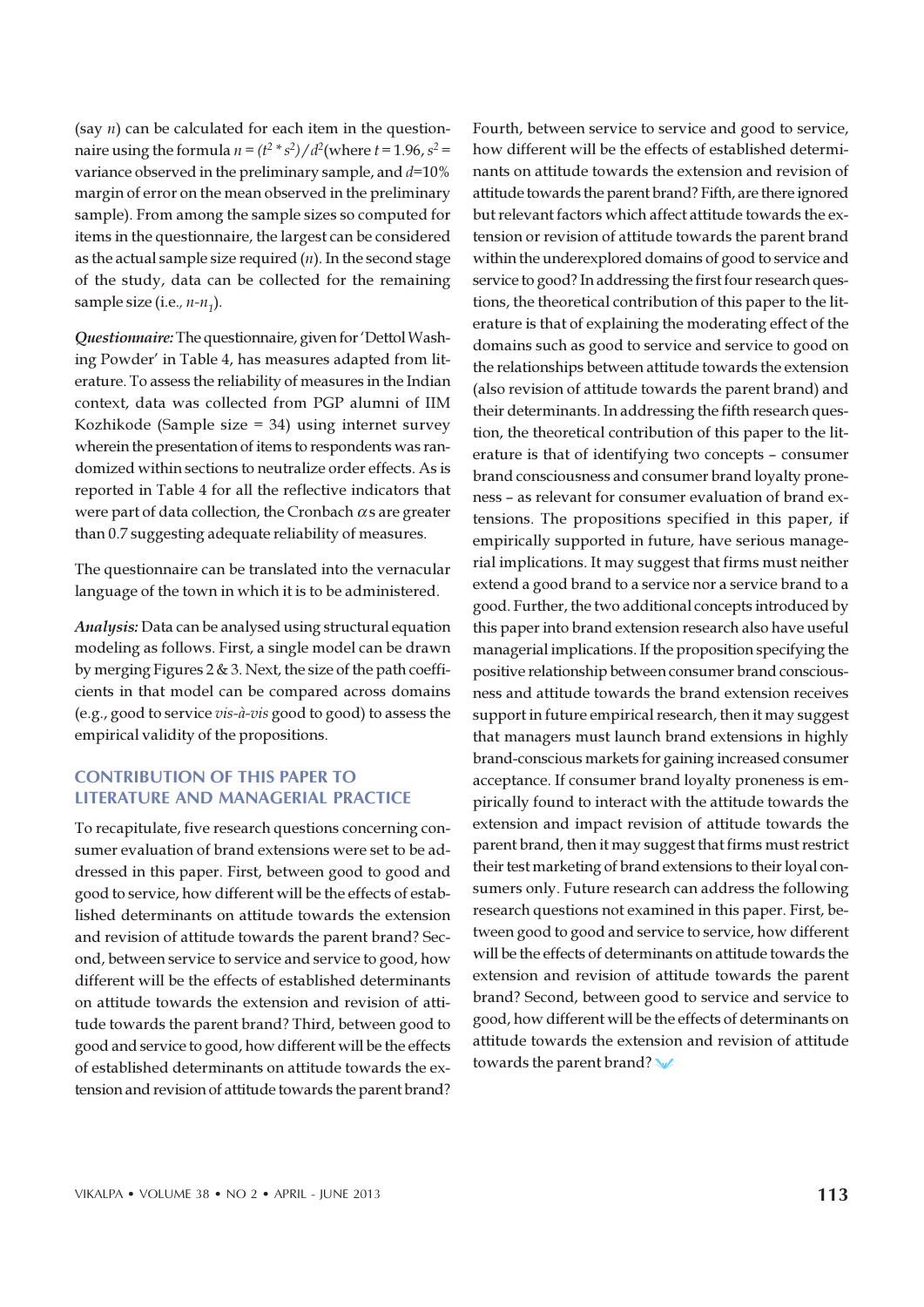(say  $n$ ) can be calculated for each item in the questionnaire using the formula  $n = (t^2 * s^2) / d^2$ (where  $t = 1.96$ ,  $s^2 =$ variance observed in the preliminary sample, and  $d=10\%$ margin of error on the mean observed in the preliminary sample). From among the sample sizes so computed for items in the questionnaire, the largest can be considered as the actual sample size required  $(n)$ . In the second stage of the study, data can be collected for the remaining sample size (i.e.,  $n$ - $n_1$ ).

Questionnaire: The questionnaire, given for 'Dettol Washing Powder' in Table 4, has measures adapted from literature. To assess the reliability of measures in the Indian context, data was collected from PGP alumni of IIM Kozhikode (Sample size = 34) using internet survey wherein the presentation of items to respondents was randomized within sections to neutralize order effects. As is reported in Table 4 for all the reflective indicators that were part of data collection, the Cronbach  $\alpha$  s are greater than 0.7 suggesting adequate reliability of measures.

The questionnaire can be translated into the vernacular language of the town in which it is to be administered.

Analysis: Data can be analysed using structural equation modeling as follows. First, a single model can be drawn by merging Figures 2  $\&$  3. Next, the size of the path coefficients in that model can be compared across domains (e.g., good to service vis-à-vis good to good) to assess the empirical validity of the propositions.

### CONTRIBUTION OF THIS PAPER TO LITERATURE AND MANAGERIAL PRACTICE

To recapitulate, five research questions concerning consumer evaluation of brand extensions were set to be addressed in this paper. First, between good to good and good to service, how different will be the effects of established determinants on attitude towards the extension and revision of attitude towards the parent brand? Second, between service to service and service to good, how different will be the effects of established determinants on attitude towards the extension and revision of attitude towards the parent brand? Third, between good to good and service to good, how different will be the effects of established determinants on attitude towards the extension and revision of attitude towards the parent brand? Fourth, between service to service and good to service, how different will be the effects of established determinants on attitude towards the extension and revision of attitude towards the parent brand? Fifth, are there ignored but relevant factors which affect attitude towards the extension or revision of attitude towards the parent brand within the underexplored domains of good to service and service to good? In addressing the first four research questions, the theoretical contribution of this paper to the literature is that of explaining the moderating effect of the domains such as good to service and service to good on the relationships between attitude towards the extension (also revision of attitude towards the parent brand) and their determinants. In addressing the fifth research question, the theoretical contribution of this paper to the literature is that of identifying two concepts – consumer brand consciousness and consumer brand loyalty proneness – as relevant for consumer evaluation of brand extensions. The propositions specified in this paper, if empirically supported in future, have serious managerial implications. It may suggest that firms must neither extend a good brand to a service nor a service brand to a good. Further, the two additional concepts introduced by this paper into brand extension research also have useful managerial implications. If the proposition specifying the positive relationship between consumer brand consciousness and attitude towards the brand extension receives support in future empirical research, then it may suggest that managers must launch brand extensions in highly brand-conscious markets for gaining increased consumer acceptance. If consumer brand loyalty proneness is empirically found to interact with the attitude towards the extension and impact revision of attitude towards the parent brand, then it may suggest that firms must restrict their test marketing of brand extensions to their loyal consumers only. Future research can address the following research questions not examined in this paper. First, between good to good and service to service, how different will be the effects of determinants on attitude towards the extension and revision of attitude towards the parent brand? Second, between good to service and service to good, how different will be the effects of determinants on attitude towards the extension and revision of attitude towards the parent brand?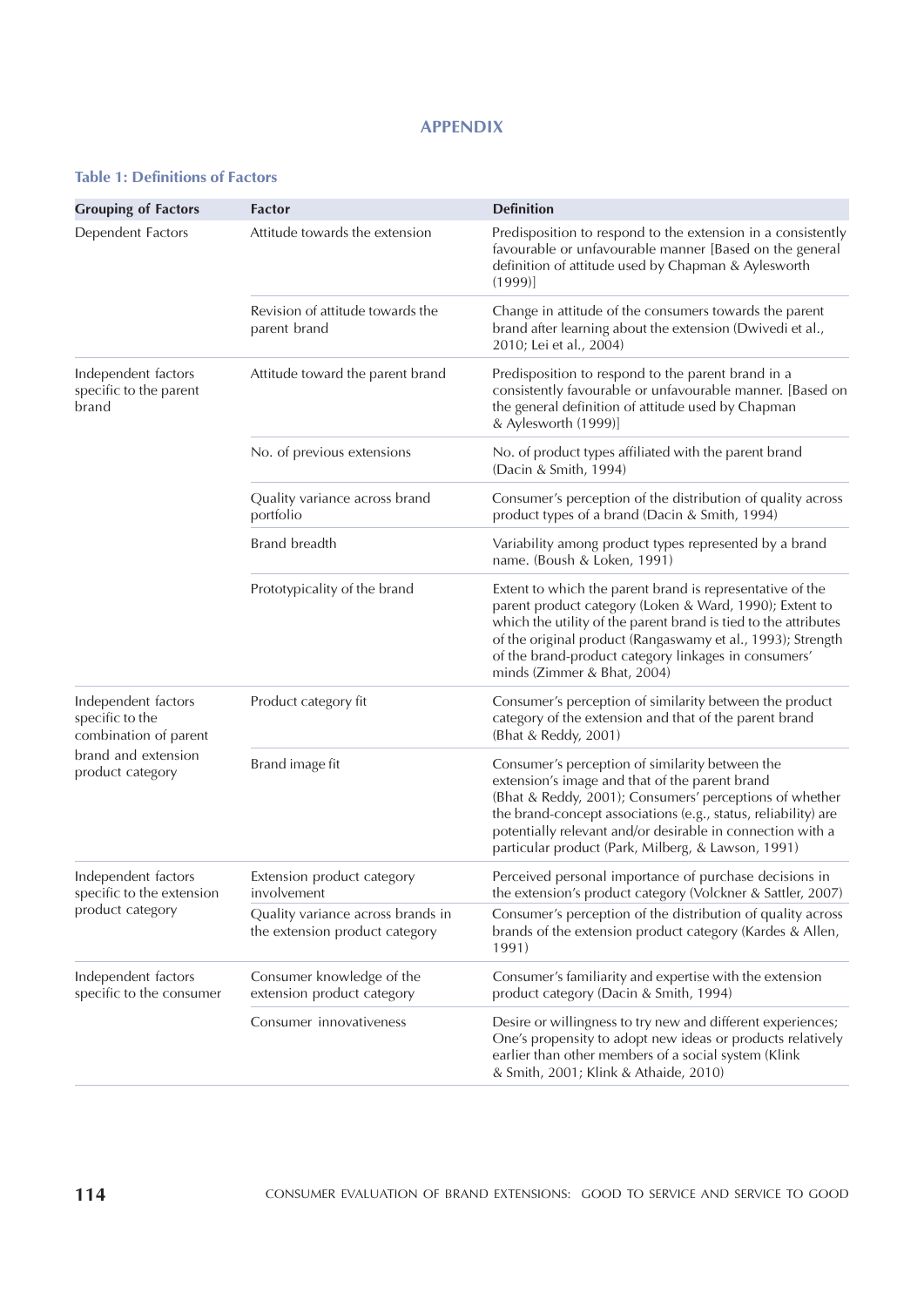# APPENDIX

# Table 1: Definitions of Factors

| <b>Grouping of Factors</b>                                      | <b>Factor</b>                                                       | <b>Definition</b>                                                                                                                                                                                                                                                                                                                                  |  |
|-----------------------------------------------------------------|---------------------------------------------------------------------|----------------------------------------------------------------------------------------------------------------------------------------------------------------------------------------------------------------------------------------------------------------------------------------------------------------------------------------------------|--|
| Dependent Factors                                               | Attitude towards the extension                                      | Predisposition to respond to the extension in a consistently<br>favourable or unfavourable manner [Based on the general<br>definition of attitude used by Chapman & Aylesworth<br>(1999)                                                                                                                                                           |  |
|                                                                 | Revision of attitude towards the<br>parent brand                    | Change in attitude of the consumers towards the parent<br>brand after learning about the extension (Dwivedi et al.,<br>2010; Lei et al., 2004)                                                                                                                                                                                                     |  |
| Independent factors<br>specific to the parent<br>brand          | Attitude toward the parent brand                                    | Predisposition to respond to the parent brand in a<br>consistently favourable or unfavourable manner. [Based on<br>the general definition of attitude used by Chapman<br>& Aylesworth (1999)]                                                                                                                                                      |  |
|                                                                 | No. of previous extensions                                          | No. of product types affiliated with the parent brand<br>(Dacin & Smith, 1994)                                                                                                                                                                                                                                                                     |  |
|                                                                 | Quality variance across brand<br>portfolio                          | Consumer's perception of the distribution of quality across<br>product types of a brand (Dacin & Smith, 1994)                                                                                                                                                                                                                                      |  |
|                                                                 | Brand breadth                                                       | Variability among product types represented by a brand<br>name. (Boush & Loken, 1991)                                                                                                                                                                                                                                                              |  |
|                                                                 | Prototypicality of the brand                                        | Extent to which the parent brand is representative of the<br>parent product category (Loken & Ward, 1990); Extent to<br>which the utility of the parent brand is tied to the attributes<br>of the original product (Rangaswamy et al., 1993); Strength<br>of the brand-product category linkages in consumers'<br>minds (Zimmer & Bhat, 2004)      |  |
| Independent factors<br>specific to the<br>combination of parent | Product category fit                                                | Consumer's perception of similarity between the product<br>category of the extension and that of the parent brand<br>(Bhat & Reddy, 2001)                                                                                                                                                                                                          |  |
| brand and extension<br>product category                         | Brand image fit                                                     | Consumer's perception of similarity between the<br>extension's image and that of the parent brand<br>(Bhat & Reddy, 2001); Consumers' perceptions of whether<br>the brand-concept associations (e.g., status, reliability) are<br>potentially relevant and/or desirable in connection with a<br>particular product (Park, Milberg, & Lawson, 1991) |  |
| Independent factors<br>specific to the extension                | Extension product category<br>involvement                           | Perceived personal importance of purchase decisions in<br>the extension's product category (Volckner & Sattler, 2007)                                                                                                                                                                                                                              |  |
| product category                                                | Quality variance across brands in<br>the extension product category | Consumer's perception of the distribution of quality across<br>brands of the extension product category (Kardes & Allen,<br>1991)                                                                                                                                                                                                                  |  |
| Independent factors<br>specific to the consumer                 | Consumer knowledge of the<br>extension product category             | Consumer's familiarity and expertise with the extension<br>product category (Dacin & Smith, 1994)                                                                                                                                                                                                                                                  |  |
|                                                                 | Consumer innovativeness                                             | Desire or willingness to try new and different experiences;<br>One's propensity to adopt new ideas or products relatively<br>earlier than other members of a social system (Klink<br>& Smith, 2001; Klink & Athaide, 2010)                                                                                                                         |  |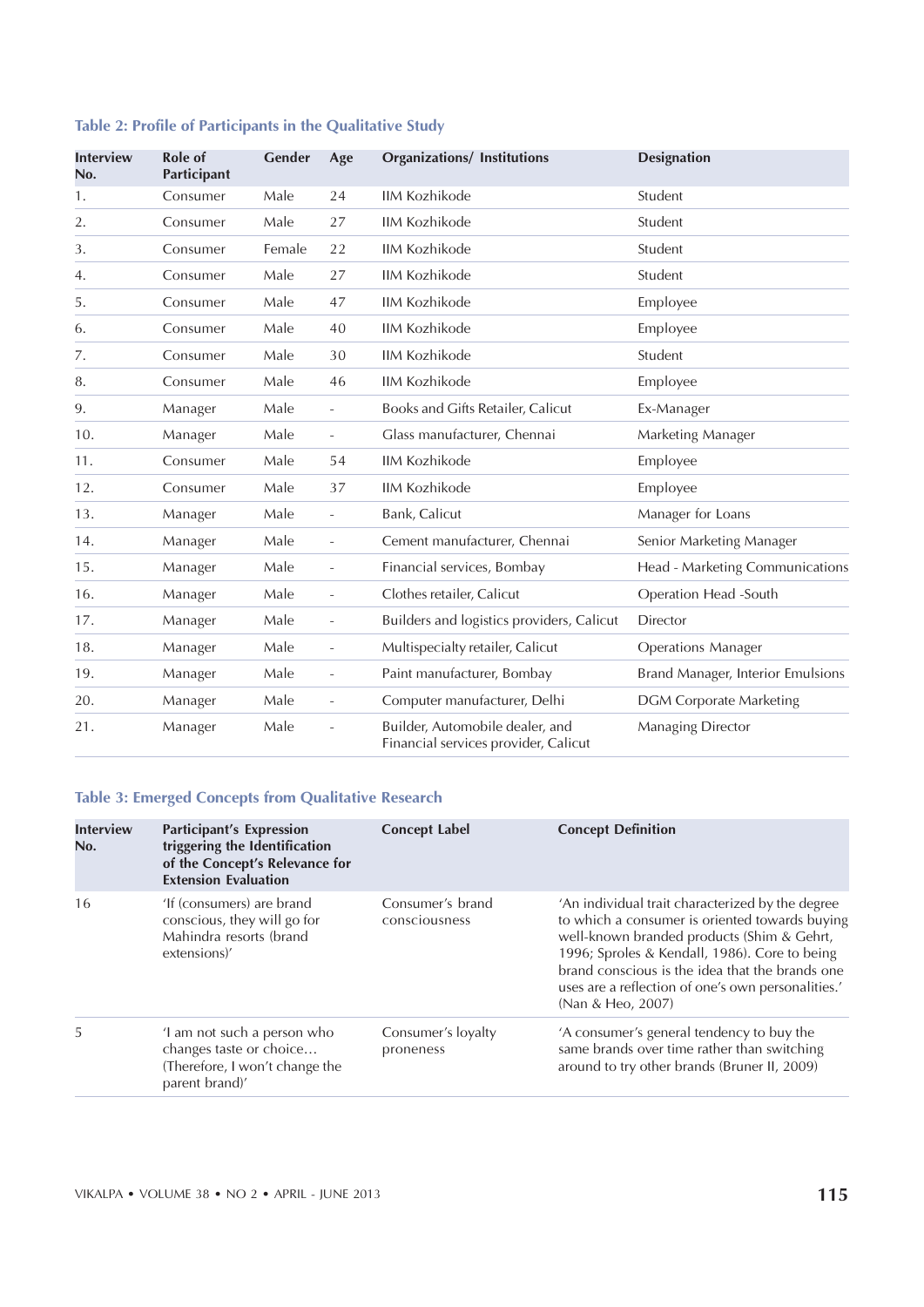# Table 2: Profile of Participants in the Qualitative Study

| <b>Interview</b><br>No. | Role of<br>Participant | Gender | Age                      | <b>Organizations/Institutions</b>                                       | <b>Designation</b>                |
|-------------------------|------------------------|--------|--------------------------|-------------------------------------------------------------------------|-----------------------------------|
| 1.                      | Consumer               | Male   | 24                       | <b>IIM Kozhikode</b>                                                    | Student                           |
| 2.                      | Consumer               | Male   | 27                       | <b>IIM Kozhikode</b>                                                    | Student                           |
| 3.                      | Consumer               | Female | 22                       | <b>IIM Kozhikode</b>                                                    | Student                           |
| 4.                      | Consumer               | Male   | 27                       | <b>IIM Kozhikode</b>                                                    | Student                           |
| 5.                      | Consumer               | Male   | 47                       | <b>IIM Kozhikode</b>                                                    | Employee                          |
| 6.                      | Consumer               | Male   | 40                       | <b>IIM Kozhikode</b>                                                    | Employee                          |
| 7.                      | Consumer               | Male   | 30                       | <b>IIM Kozhikode</b>                                                    | Student                           |
| 8.                      | Consumer               | Male   | 46                       | <b>IIM Kozhikode</b>                                                    | Employee                          |
| 9.                      | Manager                | Male   | $\overline{\phantom{a}}$ | Books and Gifts Retailer, Calicut                                       | Ex-Manager                        |
| 10.                     | Manager                | Male   | $\overline{\phantom{a}}$ | Glass manufacturer, Chennai                                             | Marketing Manager                 |
| 11.                     | Consumer               | Male   | 54                       | <b>IIM Kozhikode</b>                                                    | Employee                          |
| 12.                     | Consumer               | Male   | 37                       | <b>IIM Kozhikode</b>                                                    | Employee                          |
| 13.                     | Manager                | Male   | $\overline{\phantom{a}}$ | Bank, Calicut                                                           | Manager for Loans                 |
| 14.                     | Manager                | Male   | $\frac{1}{2}$            | Cement manufacturer, Chennai                                            | Senior Marketing Manager          |
| 15.                     | Manager                | Male   | $\overline{\phantom{a}}$ | Financial services, Bombay                                              | Head - Marketing Communications   |
| 16.                     | Manager                | Male   | $\blacksquare$           | Clothes retailer, Calicut                                               | Operation Head -South             |
| 17.                     | Manager                | Male   | $\frac{1}{2}$            | Builders and logistics providers, Calicut                               | <b>Director</b>                   |
| 18.                     | Manager                | Male   | $\overline{\phantom{0}}$ | Multispecialty retailer, Calicut                                        | <b>Operations Manager</b>         |
| 19.                     | Manager                | Male   | $\overline{\phantom{a}}$ | Paint manufacturer, Bombay                                              | Brand Manager, Interior Emulsions |
| 20.                     | Manager                | Male   | $\overline{\phantom{a}}$ | Computer manufacturer, Delhi                                            | <b>DGM Corporate Marketing</b>    |
| 21.                     | Manager                | Male   |                          | Builder, Automobile dealer, and<br>Financial services provider, Calicut | Managing Director                 |

# Table 3: Emerged Concepts from Qualitative Research

| <b>Interview</b><br>No. | <b>Participant's Expression</b><br>triggering the Identification<br>of the Concept's Relevance for<br><b>Extension Evaluation</b> | <b>Concept Label</b>              | <b>Concept Definition</b>                                                                                                                                                                                                                                                                                                       |
|-------------------------|-----------------------------------------------------------------------------------------------------------------------------------|-----------------------------------|---------------------------------------------------------------------------------------------------------------------------------------------------------------------------------------------------------------------------------------------------------------------------------------------------------------------------------|
| 16                      | 'If (consumers) are brand<br>conscious, they will go for<br>Mahindra resorts (brand<br>extensions)'                               | Consumer's brand<br>consciousness | 'An individual trait characterized by the degree<br>to which a consumer is oriented towards buying<br>well-known branded products (Shim & Gehrt,<br>1996; Sproles & Kendall, 1986). Core to being<br>brand conscious is the idea that the brands one<br>uses are a reflection of one's own personalities.'<br>(Nan & Heo, 2007) |
| 5                       | I am not such a person who<br>changes taste or choice<br>(Therefore, I won't change the<br>parent brand)'                         | Consumer's loyalty<br>proneness   | 'A consumer's general tendency to buy the<br>same brands over time rather than switching<br>around to try other brands (Bruner II, 2009)                                                                                                                                                                                        |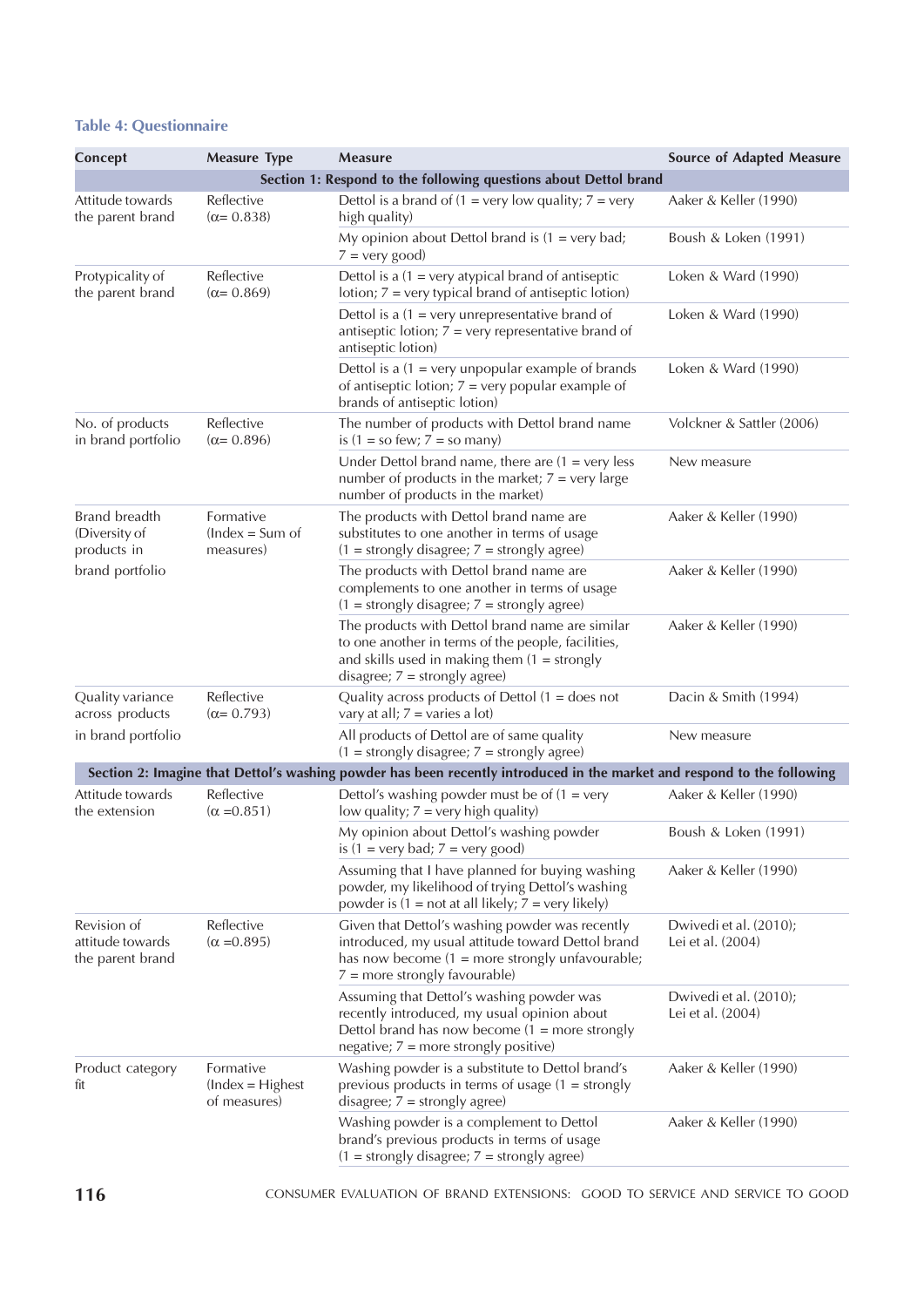# Table 4: Questionnaire

| Concept                                                          | <b>Measure Type</b>                             | <b>Measure</b>                                                                                                                                                                                | <b>Source of Adapted Measure</b>            |  |  |  |
|------------------------------------------------------------------|-------------------------------------------------|-----------------------------------------------------------------------------------------------------------------------------------------------------------------------------------------------|---------------------------------------------|--|--|--|
| Section 1: Respond to the following questions about Dettol brand |                                                 |                                                                                                                                                                                               |                                             |  |  |  |
| Attitude towards<br>the parent brand                             | Reflective<br>$(\alpha = 0.838)$                | Dettol is a brand of $(1 = \text{very low quality}; 7 = \text{very}$<br>high quality)                                                                                                         | Aaker & Keller (1990)                       |  |  |  |
|                                                                  |                                                 | My opinion about Dettol brand is $(1 = \text{very bad})$<br>$7 = \text{very good}$                                                                                                            | Boush & Loken (1991)                        |  |  |  |
| Protypicality of<br>the parent brand                             | Reflective<br>$(\alpha = 0.869)$                | Dettol is a $(1 = \text{very atypical brand of antisopic})$<br>lotion; $7 = \text{very typical brand of antisetic lot}$                                                                       | Loken & Ward (1990)                         |  |  |  |
|                                                                  |                                                 | Dettol is a $(1 = \text{very unrepresentative brand of})$<br>antiseptic lotion; $7 = \text{very representative brand of}$<br>antiseptic lotion)                                               | Loken & Ward (1990)                         |  |  |  |
|                                                                  |                                                 | Dettol is a $(1 = \text{very unpopular example of brands})$<br>of antiseptic lotion; $7 = \text{very popular example of}$<br>brands of antiseptic lotion)                                     | Loken & Ward (1990)                         |  |  |  |
| No. of products<br>in brand portfolio                            | Reflective<br>$(\alpha = 0.896)$                | The number of products with Dettol brand name<br>is $(1 =$ so few; $7 =$ so many)                                                                                                             | Volckner & Sattler (2006)                   |  |  |  |
|                                                                  |                                                 | Under Dettol brand name, there are $(1 = \text{very less})$<br>number of products in the market; $7 = \text{very large}$<br>number of products in the market)                                 | New measure                                 |  |  |  |
| Brand breadth<br>(Diversity of<br>products in                    | Formative<br>$(hdeg = Sum of$<br>measures)      | The products with Dettol brand name are<br>substitutes to one another in terms of usage<br>$(1 = strongly disagree; 7 = strongly agree)$                                                      | Aaker & Keller (1990)                       |  |  |  |
| brand portfolio                                                  |                                                 | The products with Dettol brand name are<br>complements to one another in terms of usage<br>$(1 = strongly disagree; 7 = strongly agree)$                                                      | Aaker & Keller (1990)                       |  |  |  |
|                                                                  |                                                 | The products with Dettol brand name are similar<br>to one another in terms of the people, facilities,<br>and skills used in making them $(1 = \frac{1}{2}$<br>disagree; $7 =$ strongly agree) | Aaker & Keller (1990)                       |  |  |  |
| Quality variance<br>across products                              | Reflective<br>$(\alpha = 0.793)$                | Quality across products of Dettol $(1 =$ does not<br>vary at all; $7 = \text{varies}$ a lot)                                                                                                  | Dacin & Smith (1994)                        |  |  |  |
| in brand portfolio                                               |                                                 | All products of Dettol are of same quality<br>$(1 = strongly disagree; 7 = strongly agree)$                                                                                                   | New measure                                 |  |  |  |
|                                                                  |                                                 | Section 2: Imagine that Dettol's washing powder has been recently introduced in the market and respond to the following                                                                       |                                             |  |  |  |
| Attitude towards<br>the extension                                | Reflective<br>$(\alpha = 0.851)$                | Dettol's washing powder must be of $(1 = \text{very})$<br>low quality; $7 = \text{very high quality}$ )                                                                                       | Aaker & Keller (1990)                       |  |  |  |
|                                                                  |                                                 | My opinion about Dettol's washing powder<br>is $(1 = \text{very bad}; 7 = \text{very good})$                                                                                                  | Boush & Loken (1991)                        |  |  |  |
|                                                                  |                                                 | Assuming that I have planned for buying washing<br>powder, my likelihood of trying Dettol's washing<br>powder is $(1 = not at all likely; 7 = very likely)$                                   | Aaker & Keller (1990)                       |  |  |  |
| Revision of<br>attitude towards<br>the parent brand              | Reflective<br>$(\alpha = 0.895)$                | Given that Dettol's washing powder was recently<br>introduced, my usual attitude toward Dettol brand<br>has now become $(1 = more strongly unfavorable)$ ;<br>$7 =$ more strongly favourable) | Dwivedi et al. (2010);<br>Lei et al. (2004) |  |  |  |
|                                                                  |                                                 | Assuming that Dettol's washing powder was<br>recently introduced, my usual opinion about<br>Dettol brand has now become $(1 = more strongly)$<br>negative; $7 =$ more strongly positive)      | Dwivedi et al. (2010);<br>Lei et al. (2004) |  |  |  |
| Product category<br>fit                                          | Formative<br>$(Index = Higher)$<br>of measures) | Washing powder is a substitute to Dettol brand's<br>previous products in terms of usage $(1 = \frac{1}{2})$<br>disagree; $7 =$ strongly agree)                                                | Aaker & Keller (1990)                       |  |  |  |
|                                                                  |                                                 | Washing powder is a complement to Dettol<br>brand's previous products in terms of usage<br>$(1 = strongly disagree; 7 = strongly agree)$                                                      | Aaker & Keller (1990)                       |  |  |  |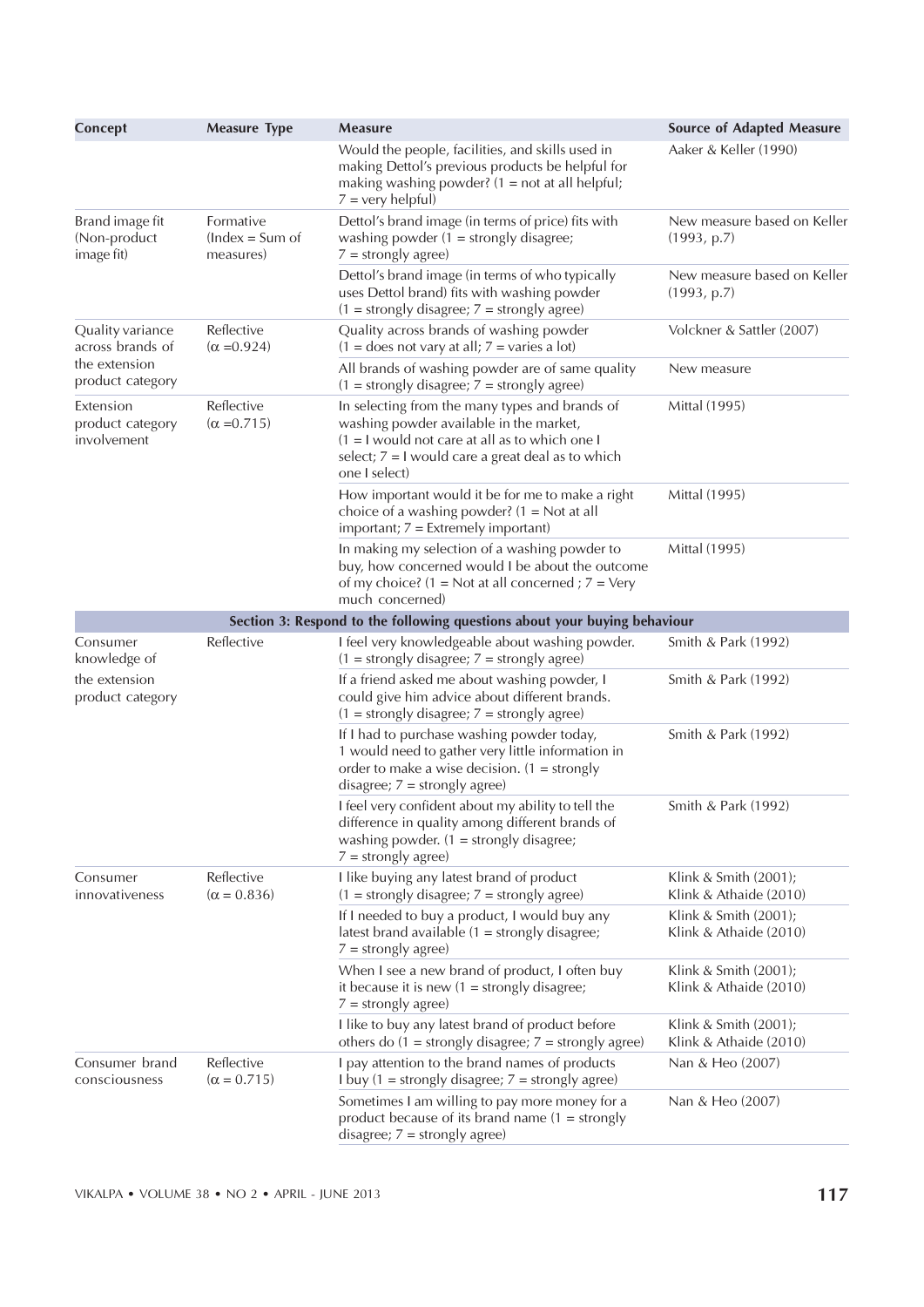| Concept                                       | <b>Measure Type</b>                        | <b>Measure</b>                                                                                                                                                                                                        | <b>Source of Adapted Measure</b>                |
|-----------------------------------------------|--------------------------------------------|-----------------------------------------------------------------------------------------------------------------------------------------------------------------------------------------------------------------------|-------------------------------------------------|
|                                               |                                            | Would the people, facilities, and skills used in<br>making Dettol's previous products be helpful for<br>making washing powder? $(1 = not at all helpful)$ ;<br>$7 = \text{very helpful}$                              | Aaker & Keller (1990)                           |
| Brand image fit<br>(Non-product<br>image fit) | Formative<br>$(hdeg = Sum of$<br>measures) | Dettol's brand image (in terms of price) fits with<br>washing powder $(1 =$ strongly disagree;<br>$7 =$ strongly agree)                                                                                               | New measure based on Keller<br>(1993, p.7)      |
|                                               |                                            | Dettol's brand image (in terms of who typically<br>uses Dettol brand) fits with washing powder<br>$(1 = strongly disagree; 7 = strongly agree)$                                                                       | New measure based on Keller<br>(1993, p.7)      |
| Quality variance<br>across brands of          | Reflective<br>$(\alpha = 0.924)$           | Quality across brands of washing powder<br>$(1 =$ does not vary at all; $7 =$ varies a lot)                                                                                                                           | Volckner & Sattler (2007)                       |
| the extension<br>product category             |                                            | All brands of washing powder are of same quality<br>$(1 = strongly disagree; 7 = strongly agree)$                                                                                                                     | New measure                                     |
| Extension<br>product category<br>involvement  | Reflective<br>$(\alpha = 0.715)$           | In selecting from the many types and brands of<br>washing powder available in the market,<br>$(1 = I$ would not care at all as to which one I<br>select; $7 = I$ would care a great deal as to which<br>one I select) | Mittal (1995)                                   |
|                                               |                                            | How important would it be for me to make a right<br>choice of a washing powder? $(1 = Not at all$<br>$important; 7 = Extremely important)$                                                                            | Mittal (1995)                                   |
|                                               |                                            | In making my selection of a washing powder to<br>buy, how concerned would I be about the outcome<br>of my choice? $(1 = Not at all concerned ; 7 = Very$<br>much concerned)                                           | Mittal (1995)                                   |
|                                               |                                            | Section 3: Respond to the following questions about your buying behaviour                                                                                                                                             |                                                 |
| Consumer<br>knowledge of                      | Reflective                                 | I feel very knowledgeable about washing powder.<br>$(1 = strongly disagree; 7 = strongly agree)$                                                                                                                      | Smith & Park (1992)                             |
| the extension<br>product category             |                                            | If a friend asked me about washing powder, I<br>could give him advice about different brands.<br>$(1 = strongly disagree; 7 = strongly agree)$                                                                        | Smith & Park (1992)                             |
|                                               |                                            | If I had to purchase washing powder today,<br>1 would need to gather very little information in<br>order to make a wise decision. $(1 = \frac{1}{2}$<br>disagree; $7 =$ strongly agree)                               | Smith & Park (1992)                             |
|                                               |                                            | I feel very confident about my ability to tell the<br>difference in quality among different brands of<br>washing powder. $(1 =$ strongly disagree;<br>$7 =$ strongly agree)                                           | Smith & Park (1992)                             |
| Consumer<br>innovativeness                    | Reflective<br>$(\alpha = 0.836)$           | I like buying any latest brand of product<br>$(1 = strongly disagree; 7 = strongly agree)$                                                                                                                            | Klink & Smith (2001);<br>Klink & Athaide (2010) |
|                                               |                                            | If I needed to buy a product, I would buy any<br>latest brand available $(1 =$ strongly disagree;<br>$7 =$ strongly agree)                                                                                            | Klink & Smith (2001);<br>Klink & Athaide (2010) |
|                                               |                                            | When I see a new brand of product, I often buy<br>it because it is new $(1 =$ strongly disagree;<br>$7 =$ strongly agree)                                                                                             | Klink & Smith (2001);<br>Klink & Athaide (2010) |
|                                               |                                            | I like to buy any latest brand of product before<br>others do $(1 =$ strongly disagree; $7 =$ strongly agree)                                                                                                         | Klink & Smith (2001);<br>Klink & Athaide (2010) |
| Consumer brand<br>consciousness               | Reflective<br>$(\alpha = 0.715)$           | I pay attention to the brand names of products<br>I buy $(1 =$ strongly disagree; $7 =$ strongly agree)                                                                                                               | Nan & Heo (2007)                                |
|                                               |                                            | Sometimes I am willing to pay more money for a<br>product because of its brand name $(1 =$ strongly<br>disagree; $7 =$ strongly agree)                                                                                | Nan & Heo (2007)                                |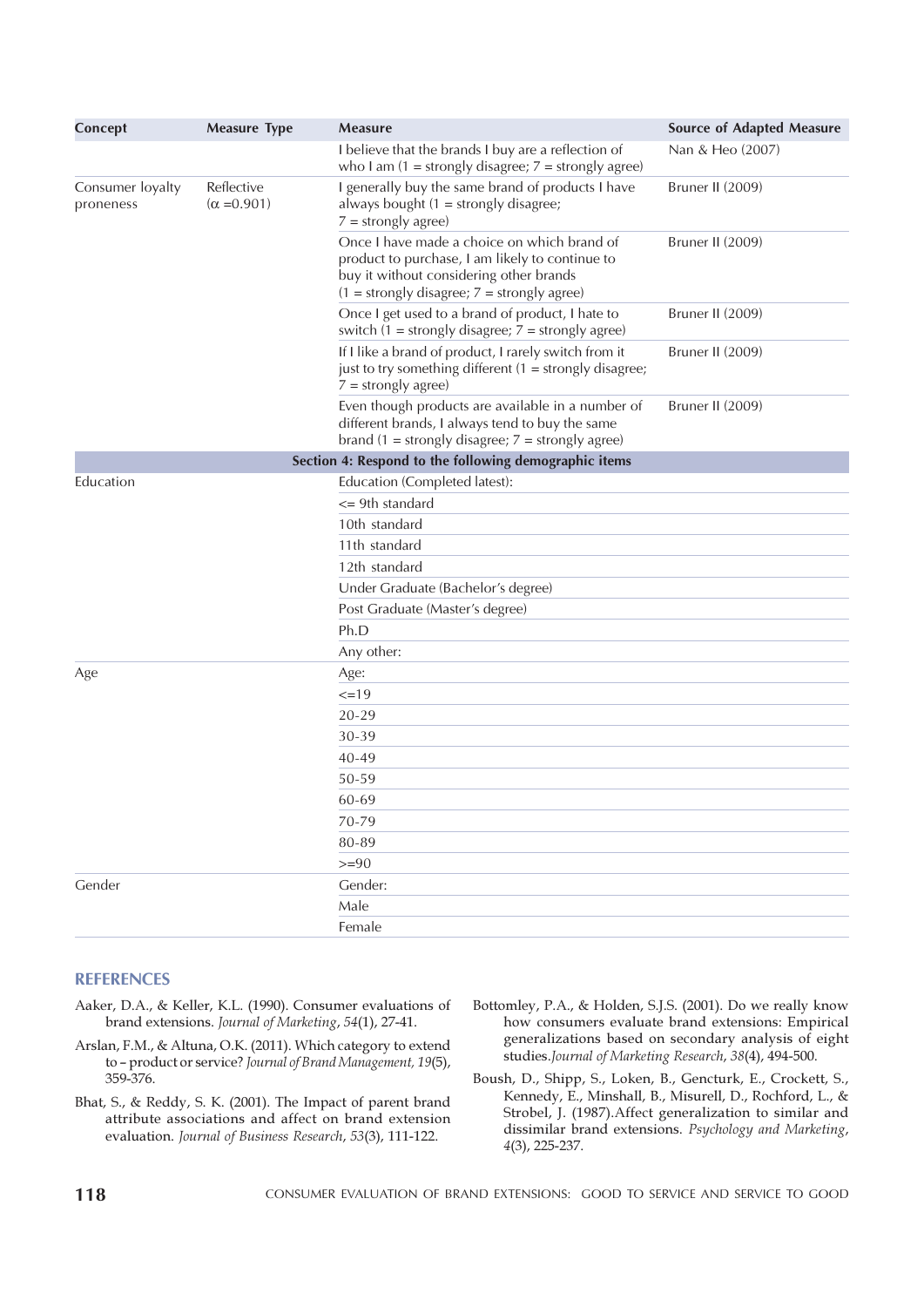| Concept                       | <b>Measure Type</b>              | <b>Measure</b>                                                                                                                                                                             | <b>Source of Adapted Measure</b> |  |  |
|-------------------------------|----------------------------------|--------------------------------------------------------------------------------------------------------------------------------------------------------------------------------------------|----------------------------------|--|--|
|                               |                                  | I believe that the brands I buy are a reflection of<br>who I am $(1 =$ strongly disagree; $7 =$ strongly agree)                                                                            | Nan & Heo (2007)                 |  |  |
| Consumer loyalty<br>proneness | Reflective<br>$(\alpha = 0.901)$ | I generally buy the same brand of products I have<br>always bought $(1 =$ strongly disagree;<br>$7 =$ strongly agree)                                                                      | Bruner II (2009)                 |  |  |
|                               |                                  | Once I have made a choice on which brand of<br>product to purchase, I am likely to continue to<br>buy it without considering other brands<br>$(1 = strongly disagree; 7 = strongly agree)$ | Bruner II (2009)                 |  |  |
|                               |                                  | Once I get used to a brand of product, I hate to<br>switch $(1 =$ strongly disagree; $7 =$ strongly agree)                                                                                 | <b>Bruner II (2009)</b>          |  |  |
|                               |                                  | If I like a brand of product, I rarely switch from it<br>just to try something different $(1 =$ strongly disagree;<br>$7 =$ strongly agree)                                                | Bruner II (2009)                 |  |  |
|                               |                                  | Even though products are available in a number of<br>different brands, I always tend to buy the same<br>brand $(1 =$ strongly disagree; $7 =$ strongly agree)                              | Bruner II (2009)                 |  |  |
|                               |                                  | Section 4: Respond to the following demographic items                                                                                                                                      |                                  |  |  |
| Education                     |                                  | Education (Completed latest):                                                                                                                                                              |                                  |  |  |
|                               |                                  | $\leq$ 9th standard                                                                                                                                                                        |                                  |  |  |
|                               |                                  | 10th standard                                                                                                                                                                              |                                  |  |  |
|                               |                                  | 11th standard                                                                                                                                                                              |                                  |  |  |
|                               |                                  | 12th standard                                                                                                                                                                              |                                  |  |  |
|                               |                                  | Under Graduate (Bachelor's degree)                                                                                                                                                         |                                  |  |  |
|                               |                                  | Post Graduate (Master's degree)                                                                                                                                                            |                                  |  |  |
|                               |                                  | Ph.D                                                                                                                                                                                       |                                  |  |  |
|                               |                                  | Any other:                                                                                                                                                                                 |                                  |  |  |
| Age                           |                                  | Age:                                                                                                                                                                                       |                                  |  |  |
|                               |                                  | $=19$                                                                                                                                                                                      |                                  |  |  |
|                               |                                  | $20 - 29$                                                                                                                                                                                  |                                  |  |  |
|                               |                                  | 30-39                                                                                                                                                                                      |                                  |  |  |
|                               |                                  | 40-49                                                                                                                                                                                      |                                  |  |  |
|                               |                                  | 50-59                                                                                                                                                                                      |                                  |  |  |
|                               |                                  | 60-69                                                                                                                                                                                      |                                  |  |  |
|                               |                                  | 70-79                                                                                                                                                                                      |                                  |  |  |
|                               |                                  | 80-89                                                                                                                                                                                      |                                  |  |  |
|                               |                                  | $>= 90$                                                                                                                                                                                    |                                  |  |  |
| Gender                        |                                  | Gender:                                                                                                                                                                                    |                                  |  |  |
|                               |                                  | Male                                                                                                                                                                                       |                                  |  |  |
|                               |                                  | Female                                                                                                                                                                                     |                                  |  |  |

#### **REFERENCES**

- Aaker, D.A., & Keller, K.L. (1990). Consumer evaluations of brand extensions. Journal of Marketing, 54(1), 27-41.
- Arslan, F.M., & Altuna, O.K. (2011). Which category to extend to – product or service? Journal of Brand Management, 19(5), 359-376.
- Bhat, S., & Reddy, S. K. (2001). The Impact of parent brand attribute associations and affect on brand extension evaluation. Journal of Business Research, 53(3), 111-122.
- Bottomley, P.A., & Holden, S.J.S. (2001). Do we really know how consumers evaluate brand extensions: Empirical generalizations based on secondary analysis of eight studies.Journal of Marketing Research, 38(4), 494-500.
- Boush, D., Shipp, S., Loken, B., Gencturk, E., Crockett, S., Kennedy, E., Minshall, B., Misurell, D., Rochford, L., & Strobel, J. (1987).Affect generalization to similar and dissimilar brand extensions. Psychology and Marketing, 4(3), 225-237.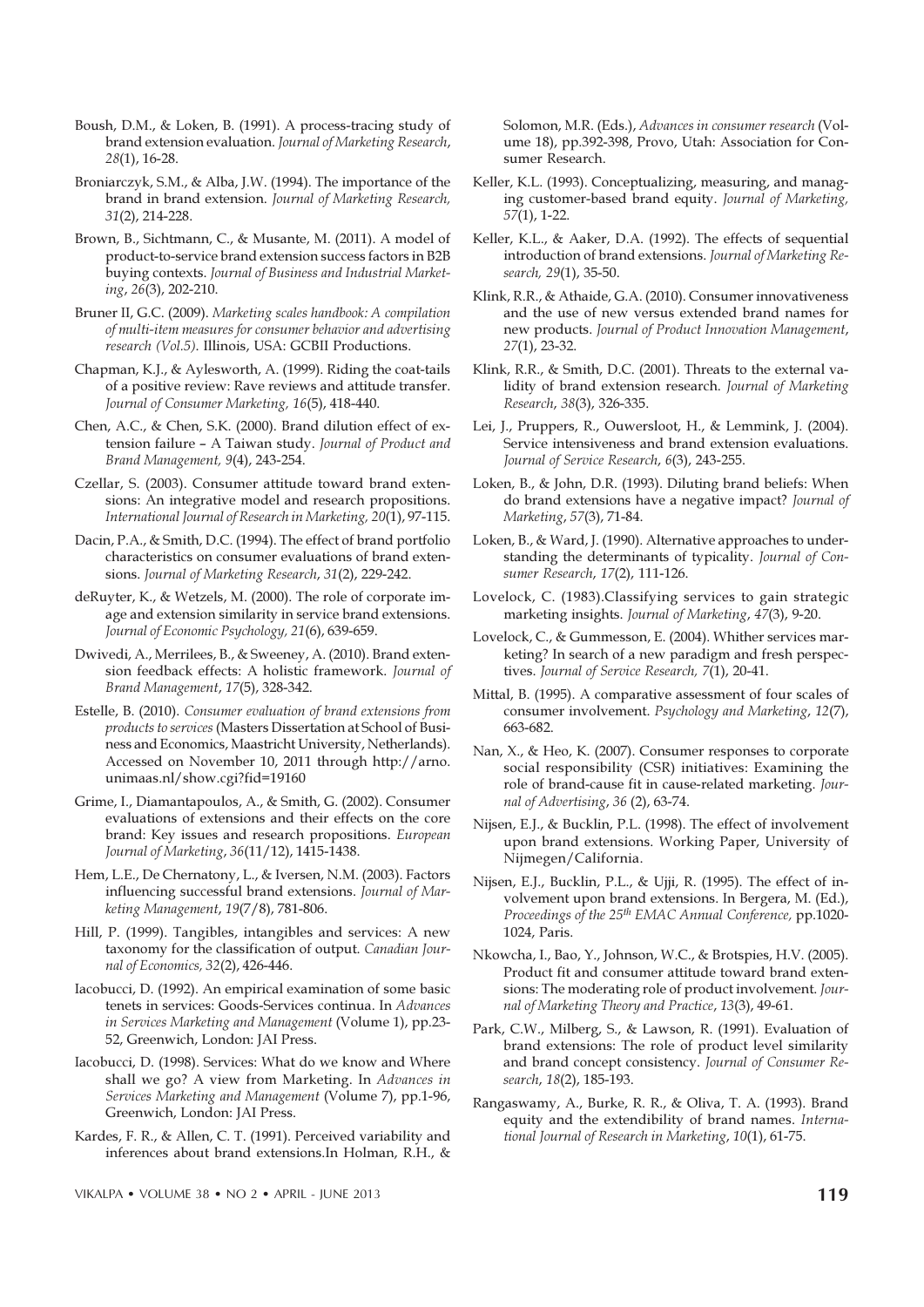Boush, D.M., & Loken, B. (1991). A process-tracing study of brand extension evaluation. Journal of Marketing Research, 28(1), 16-28.

- Broniarczyk, S.M., & Alba, J.W. (1994). The importance of the brand in brand extension. Journal of Marketing Research, 31(2), 214-228.
- Brown, B., Sichtmann, C., & Musante, M. (2011). A model of product-to-service brand extension success factors in B2B buying contexts. Journal of Business and Industrial Marketing, 26(3), 202-210.
- Bruner II, G.C. (2009). Marketing scales handbook: A compilation of multi-item measures for consumer behavior and advertising research (Vol.5). Illinois, USA: GCBII Productions.
- Chapman, K.J., & Aylesworth, A. (1999). Riding the coat-tails of a positive review: Rave reviews and attitude transfer. Journal of Consumer Marketing, 16(5), 418-440.
- Chen, A.C., & Chen, S.K. (2000). Brand dilution effect of extension failure – A Taiwan study. Journal of Product and Brand Management, 9(4), 243-254.
- Czellar, S. (2003). Consumer attitude toward brand extensions: An integrative model and research propositions. International Journal of Research in Marketing, 20(1), 97-115.
- Dacin, P.A., & Smith, D.C. (1994). The effect of brand portfolio characteristics on consumer evaluations of brand extensions. Journal of Marketing Research, 31(2), 229-242.
- deRuyter, K., & Wetzels, M. (2000). The role of corporate image and extension similarity in service brand extensions. Journal of Economic Psychology, 21(6), 639-659.
- Dwivedi, A., Merrilees, B., & Sweeney, A. (2010). Brand extension feedback effects: A holistic framework. Journal of Brand Management, 17(5), 328-342.
- Estelle, B. (2010). Consumer evaluation of brand extensions from products to services (Masters Dissertation at School of Business and Economics, Maastricht University, Netherlands). Accessed on November 10, 2011 through http://arno. unimaas.nl/show.cgi?fid=19160
- Grime, I., Diamantapoulos, A., & Smith, G. (2002). Consumer evaluations of extensions and their effects on the core brand: Key issues and research propositions. European Journal of Marketing, 36(11/12), 1415-1438.
- Hem, L.E., De Chernatony, L., & Iversen, N.M. (2003). Factors influencing successful brand extensions. Journal of Marketing Management, 19(7/8), 781-806.
- Hill, P. (1999). Tangibles, intangibles and services: A new taxonomy for the classification of output. Canadian Journal of Economics, 32(2), 426-446.
- Iacobucci, D. (1992). An empirical examination of some basic tenets in services: Goods-Services continua. In Advances in Services Marketing and Management (Volume 1), pp.23- 52, Greenwich, London: JAI Press.
- Iacobucci, D. (1998). Services: What do we know and Where shall we go? A view from Marketing. In Advances in Services Marketing and Management (Volume 7), pp.1-96, Greenwich, London: JAI Press.
- Kardes, F. R., & Allen, C. T. (1991). Perceived variability and inferences about brand extensions.In Holman, R.H., &

Solomon, M.R. (Eds.), Advances in consumer research (Volume 18), pp.392-398, Provo, Utah: Association for Consumer Research.

- Keller, K.L. (1993). Conceptualizing, measuring, and managing customer-based brand equity. Journal of Marketing, 57(1), 1-22.
- Keller, K.L., & Aaker, D.A. (1992). The effects of sequential introduction of brand extensions. Journal of Marketing Research, 29(1), 35-50.
- Klink, R.R., & Athaide, G.A. (2010). Consumer innovativeness and the use of new versus extended brand names for new products. Journal of Product Innovation Management, 27(1), 23-32.
- Klink, R.R., & Smith, D.C. (2001). Threats to the external validity of brand extension research. Journal of Marketing Research, 38(3), 326-335.
- Lei, J., Pruppers, R., Ouwersloot, H., & Lemmink, J. (2004). Service intensiveness and brand extension evaluations. Journal of Service Research, 6(3), 243-255.
- Loken, B., & John, D.R. (1993). Diluting brand beliefs: When do brand extensions have a negative impact? Journal of Marketing, 57(3), 71-84.
- Loken, B., & Ward, J. (1990). Alternative approaches to understanding the determinants of typicality. Journal of Consumer Research, 17(2), 111-126.
- Lovelock, C. (1983).Classifying services to gain strategic marketing insights. Journal of Marketing, 47(3), 9-20.
- Lovelock, C., & Gummesson, E. (2004). Whither services marketing? In search of a new paradigm and fresh perspectives. Journal of Service Research, 7(1), 20-41.
- Mittal, B. (1995). A comparative assessment of four scales of consumer involvement. Psychology and Marketing, 12(7), 663-682.
- Nan, X., & Heo, K. (2007). Consumer responses to corporate social responsibility (CSR) initiatives: Examining the role of brand-cause fit in cause-related marketing. Journal of Advertising, 36 (2), 63-74.
- Nijsen, E.J., & Bucklin, P.L. (1998). The effect of involvement upon brand extensions. Working Paper, University of Nijmegen/California.
- Nijsen, E.J., Bucklin, P.L., & Ujji, R. (1995). The effect of involvement upon brand extensions. In Bergera, M. (Ed.), Proceedings of the 25<sup>th</sup> EMAC Annual Conference, pp.1020-1024, Paris.
- Nkowcha, I., Bao, Y., Johnson, W.C., & Brotspies, H.V. (2005). Product fit and consumer attitude toward brand extensions: The moderating role of product involvement. Journal of Marketing Theory and Practice, 13(3), 49-61.
- Park, C.W., Milberg, S., & Lawson, R. (1991). Evaluation of brand extensions: The role of product level similarity and brand concept consistency. Journal of Consumer Research, 18(2), 185-193.
- Rangaswamy, A., Burke, R. R., & Oliva, T. A. (1993). Brand equity and the extendibility of brand names. International Journal of Research in Marketing, 10(1), 61-75.